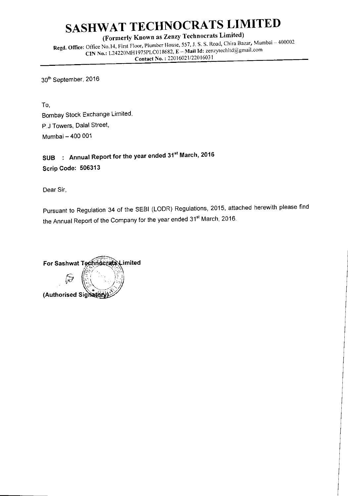(Formerly Known as Zenzy Technocrats Limited)

Regd. Office: Office No.14, First Floor, Plumber House, 557, J. S. S. Road, Chira Bazar, Mumbai - 400002 CIN No.: L24220MH1975PLC018682, E - Mail Id: zenzytechltd@gmail.com Contact No.: 22016021/22016031

30th September, 2016

To, Bombay Stock Exchange Limited, P.J Towers, Dalal Street, Mumbai - 400 001

SUB : Annual Report for the year ended 31<sup>st</sup> March, 2016 Scrip Code: 506313

Dear Sir,

Pursuant to Regulation 34 of the SEBI (LODR) Regulations, 2015, attached herewith please find the Annual Report of the Company for the year ended 31<sup>st</sup> March, 2016.

For Sashwat Technocrats Limited (Authorised Signator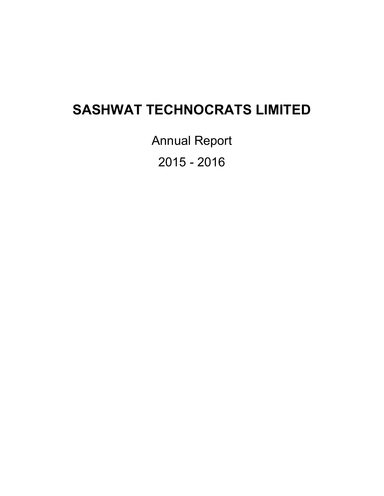Annual Report 2015 - 2016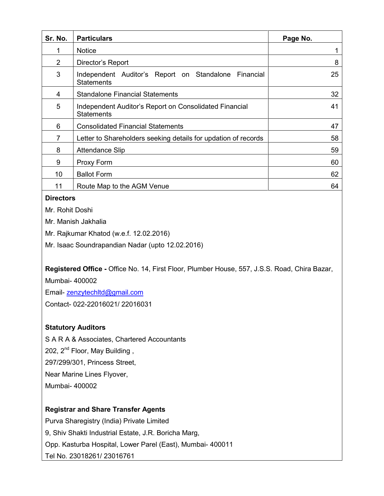| Sr. No. | <b>Particulars</b>                                                          | Page No. |
|---------|-----------------------------------------------------------------------------|----------|
|         | <b>Notice</b>                                                               |          |
| 2       | Director's Report                                                           | 8        |
| 3       | Independent Auditor's Report on Standalone Financial<br><b>Statements</b>   | 25       |
| 4       | <b>Standalone Financial Statements</b>                                      | 32       |
| 5       | Independent Auditor's Report on Consolidated Financial<br><b>Statements</b> | 41       |
| 6       | <b>Consolidated Financial Statements</b>                                    | 47       |
| 7       | Letter to Shareholders seeking details for updation of records              | 58       |
| 8       | <b>Attendance Slip</b>                                                      | 59       |
| 9       | Proxy Form                                                                  | 60       |
| 10      | <b>Ballot Form</b>                                                          | 62       |
| 11      | Route Map to the AGM Venue                                                  | 64       |

# **Directors**

Mr. Rohit Doshi

Mr. Manish Jakhalia

Mr. Rajkumar Khatod (w.e.f. 12.02.2016)

Mr. Isaac Soundrapandian Nadar (upto 12.02.2016)

**Registered Office -** Office No. 14, First Floor, Plumber House, 557, J.S.S. Road, Chira Bazar,

Mumbai- 400002

Email- zenzytechltd@gmail.com

Contact- 022-22016021/ 22016031

# **Statutory Auditors**

S A R A & Associates, Chartered Accountants

202, 2<sup>nd</sup> Floor, May Building,

297/299/301, Princess Street,

Near Marine Lines Flyover,

Mumbai- 400002

# **Registrar and Share Transfer Agents**

Purva Sharegistry (India) Private Limited 9, Shiv Shakti Industrial Estate, J.R. Boricha Marg, Opp. Kasturba Hospital, Lower Parel (East), Mumbai- 400011 Tel No. 23018261/ 23016761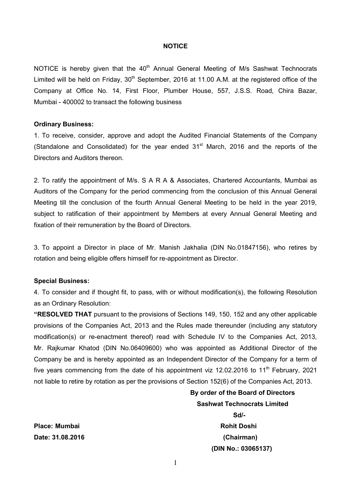#### **NOTICE**

NOTICE is hereby given that the  $40<sup>th</sup>$  Annual General Meeting of M/s Sashwat Technocrats Limited will be held on Friday,  $30<sup>th</sup>$  September, 2016 at 11.00 A.M. at the registered office of the Company at Office No. 14, First Floor, Plumber House, 557, J.S.S. Road, Chira Bazar, Mumbai - 400002 to transact the following business

#### **Ordinary Business:**

1. To receive, consider, approve and adopt the Audited Financial Statements of the Company (Standalone and Consolidated) for the year ended  $31<sup>st</sup>$  March, 2016 and the reports of the Directors and Auditors thereon.

2. To ratify the appointment of M/s. S A R A & Associates, Chartered Accountants, Mumbai as Auditors of the Company for the period commencing from the conclusion of this Annual General Meeting till the conclusion of the fourth Annual General Meeting to be held in the year 2019, subject to ratification of their appointment by Members at every Annual General Meeting and fixation of their remuneration by the Board of Directors.

3. To appoint a Director in place of Mr. Manish Jakhalia (DIN No[.01847156\)](http://www.mca.gov.in/mcafoportal/companyLLPMasterData.do), who retires by rotation and being eligible offers himself for re-appointment as Director.

#### **Special Business:**

4. To consider and if thought fit, to pass, with or without modification(s), the following Resolution as an Ordinary Resolution:

**"RESOLVED THAT** pursuant to the provisions of Sections 149, 150, 152 and any other applicable provisions of the Companies Act, 2013 and the Rules made thereunder (including any statutory modification(s) or re-enactment thereof) read with Schedule IV to the Companies Act, 2013, Mr. Rajkumar Khatod (DIN No.06409600) who was appointed as Additional Director of the Company be and is hereby appointed as an Independent Director of the Company for a term of five years commencing from the date of his appointment viz 12.02.2016 to 11<sup>th</sup> February, 2021 not liable to retire by rotation as per the provisions of Section 152(6) of the Companies Act, 2013.

> **By order of the Board of Directors Sashwat Technocrats Limited**

**Sd/-**  $S$ d/- **(DIN No.: 03065137)** 

**Place: Mumbai Rohit Doshi Albert Albert Albert Albert Albert Albert Albert Albert Albert Albert Albert Albert Date: 31.08.2016 (Chairman)**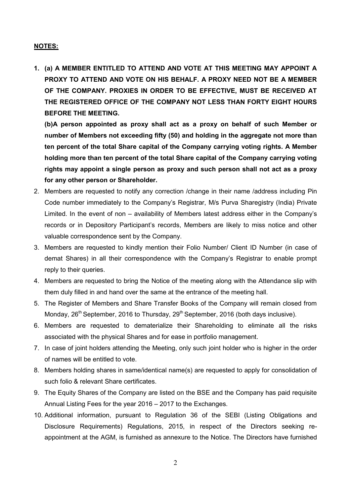# **NOTES:**

**1. (a) A MEMBER ENTITLED TO ATTEND AND VOTE AT THIS MEETING MAY APPOINT A PROXY TO ATTEND AND VOTE ON HIS BEHALF. A PROXY NEED NOT BE A MEMBER OF THE COMPANY. PROXIES IN ORDER TO BE EFFECTIVE, MUST BE RECEIVED AT THE REGISTERED OFFICE OF THE COMPANY NOT LESS THAN FORTY EIGHT HOURS BEFORE THE MEETING.** 

**(b)A person appointed as proxy shall act as a proxy on behalf of such Member or number of Members not exceeding fifty (50) and holding in the aggregate not more than ten percent of the total Share capital of the Company carrying voting rights. A Member holding more than ten percent of the total Share capital of the Company carrying voting rights may appoint a single person as proxy and such person shall not act as a proxy for any other person or Shareholder.** 

- 2. Members are requested to notify any correction /change in their name /address including Pin Code number immediately to the Company's Registrar, M/s Purva Sharegistry (India) Private Limited. In the event of non – availability of Members latest address either in the Company's records or in Depository Participant's records, Members are likely to miss notice and other valuable correspondence sent by the Company.
- 3. Members are requested to kindly mention their Folio Number/ Client ID Number (in case of demat Shares) in all their correspondence with the Company's Registrar to enable prompt reply to their queries.
- 4. Members are requested to bring the Notice of the meeting along with the Attendance slip with them duly filled in and hand over the same at the entrance of the meeting hall.
- 5. The Register of Members and Share Transfer Books of the Company will remain closed from Monday, 26<sup>th</sup> September, 2016 to Thursday, 29<sup>th</sup> September, 2016 (both days inclusive).
- 6. Members are requested to dematerialize their Shareholding to eliminate all the risks associated with the physical Shares and for ease in portfolio management.
- 7. In case of joint holders attending the Meeting, only such joint holder who is higher in the order of names will be entitled to vote.
- 8. Members holding shares in same/identical name(s) are requested to apply for consolidation of such folio & relevant Share certificates.
- 9. The Equity Shares of the Company are listed on the BSE and the Company has paid requisite Annual Listing Fees for the year 2016 – 2017 to the Exchanges.
- 10. Additional information, pursuant to Regulation 36 of the SEBI (Listing Obligations and Disclosure Requirements) Regulations, 2015, in respect of the Directors seeking reappointment at the AGM, is furnished as annexure to the Notice. The Directors have furnished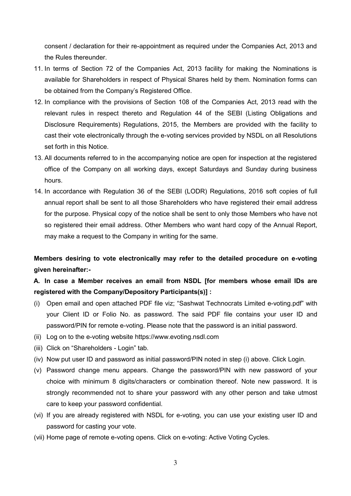consent / declaration for their re-appointment as required under the Companies Act, 2013 and the Rules thereunder.

- 11. In terms of Section 72 of the Companies Act, 2013 facility for making the Nominations is available for Shareholders in respect of Physical Shares held by them. Nomination forms can be obtained from the Company's Registered Office.
- 12. In compliance with the provisions of Section 108 of the Companies Act, 2013 read with the relevant rules in respect thereto and Regulation 44 of the SEBI (Listing Obligations and Disclosure Requirements) Regulations, 2015, the Members are provided with the facility to cast their vote electronically through the e-voting services provided by NSDL on all Resolutions set forth in this Notice.
- 13. All documents referred to in the accompanying notice are open for inspection at the registered office of the Company on all working days, except Saturdays and Sunday during business hours.
- 14. In accordance with Regulation 36 of the SEBI (LODR) Regulations, 2016 soft copies of full annual report shall be sent to all those Shareholders who have registered their email address for the purpose. Physical copy of the notice shall be sent to only those Members who have not so registered their email address. Other Members who want hard copy of the Annual Report, may make a request to the Company in writing for the same.

**Members desiring to vote electronically may refer to the detailed procedure on e-voting given hereinafter:-** 

# **A. In case a Member receives an email from NSDL [for members whose email IDs are registered with the Company/Depository Participants(s)] :**

- (i) Open email and open attached PDF file viz; "Sashwat Technocrats Limited e-voting.pdf" with your Client ID or Folio No. as password. The said PDF file contains your user ID and password/PIN for remote e-voting. Please note that the password is an initial password.
- (ii) Log on to the e-voting website https://www.evoting.nsdl.com
- (iii) Click on "Shareholders Login" tab.
- (iv) Now put user ID and password as initial password/PIN noted in step (i) above. Click Login.
- (v) Password change menu appears. Change the password/PIN with new password of your choice with minimum 8 digits/characters or combination thereof. Note new password. It is strongly recommended not to share your password with any other person and take utmost care to keep your password confidential.
- (vi) If you are already registered with NSDL for e-voting, you can use your existing user ID and password for casting your vote.
- (vii) Home page of remote e-voting opens. Click on e-voting: Active Voting Cycles.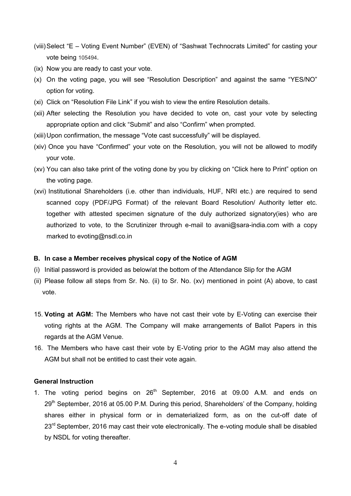- (viii) Select "E Voting Event Number" (EVEN) of "Sashwat Technocrats Limited" for casting your vote being 105494.
- (ix) Now you are ready to cast your vote.
- (x) On the voting page, you will see "Resolution Description" and against the same "YES/NO" option for voting.
- (xi) Click on "Resolution File Link" if you wish to view the entire Resolution details.
- (xii) After selecting the Resolution you have decided to vote on, cast your vote by selecting appropriate option and click "Submit" and also "Confirm" when prompted.
- (xiii) Upon confirmation, the message "Vote cast successfully" will be displayed.
- (xiv) Once you have "Confirmed" your vote on the Resolution, you will not be allowed to modify your vote.
- (xv) You can also take print of the voting done by you by clicking on "Click here to Print" option on the voting page.
- (xvi) Institutional Shareholders (i.e. other than individuals, HUF, NRI etc.) are required to send scanned copy (PDF/JPG Format) of the relevant Board Resolution/ Authority letter etc. together with attested specimen signature of the duly authorized signatory(ies) who are authorized to vote, to the Scrutinizer through e-mail to avani@sara-india.com with a copy marked to evoting@nsdl.co.in

#### **B. In case a Member receives physical copy of the Notice of AGM**

- (i) Initial password is provided as below/at the bottom of the Attendance Slip for the AGM
- (ii) Please follow all steps from Sr. No. (ii) to Sr. No. (xv) mentioned in point (A) above, to cast vote.
- 15. **Voting at AGM:** The Members who have not cast their vote by E-Voting can exercise their voting rights at the AGM. The Company will make arrangements of Ballot Papers in this regards at the AGM Venue.
- 16. The Members who have cast their vote by E-Voting prior to the AGM may also attend the AGM but shall not be entitled to cast their vote again.

#### **General Instruction**

1. The voting period begins on  $26<sup>th</sup>$  September, 2016 at 09.00 A.M. and ends on 29<sup>th</sup> September, 2016 at 05.00 P.M. During this period, Shareholders' of the Company, holding shares either in physical form or in dematerialized form, as on the cut-off date of 23<sup>rd</sup> September, 2016 may cast their vote electronically. The e-voting module shall be disabled by NSDL for voting thereafter.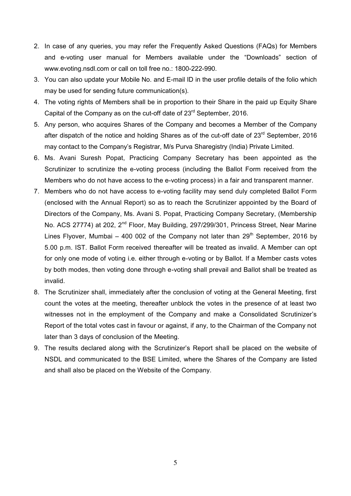- 2. In case of any queries, you may refer the Frequently Asked Questions (FAQs) for Members and e-voting user manual for Members available under the "Downloads" section of [www.evoting.nsdl.com](http://www.evoting.nsdl.com/) or call on toll free no.: 1800-222-990.
- 3. You can also update your Mobile No. and E-mail ID in the user profile details of the folio which may be used for sending future communication(s).
- 4. The voting rights of Members shall be in proportion to their Share in the paid up Equity Share Capital of the Company as on the cut-off date of 23<sup>rd</sup> September, 2016.
- 5. Any person, who acquires Shares of the Company and becomes a Member of the Company after dispatch of the notice and holding Shares as of the cut-off date of  $23<sup>rd</sup>$  September, 2016 may contact to the Company's Registrar, M/s Purva Sharegistry (India) Private Limited.
- 6. Ms. Avani Suresh Popat, Practicing Company Secretary has been appointed as the Scrutinizer to scrutinize the e-voting process (including the Ballot Form received from the Members who do not have access to the e-voting process) in a fair and transparent manner.
- 7. Members who do not have access to e-voting facility may send duly completed Ballot Form (enclosed with the Annual Report) so as to reach the Scrutinizer appointed by the Board of Directors of the Company, Ms. Avani S. Popat, Practicing Company Secretary, (Membership No. ACS 27774) at 202, 2<sup>nd</sup> Floor, May Building, 297/299/301, Princess Street, Near Marine Lines Flyover, Mumbai – 400 002 of the Company not later than  $29<sup>th</sup>$  September, 2016 by 5.00 p.m. IST. Ballot Form received thereafter will be treated as invalid. A Member can opt for only one mode of voting i.e. either through e-voting or by Ballot. If a Member casts votes by both modes, then voting done through e-voting shall prevail and Ballot shall be treated as invalid.
- 8. The Scrutinizer shall, immediately after the conclusion of voting at the General Meeting, first count the votes at the meeting, thereafter unblock the votes in the presence of at least two witnesses not in the employment of the Company and make a Consolidated Scrutinizer's Report of the total votes cast in favour or against, if any, to the Chairman of the Company not later than 3 days of conclusion of the Meeting.
- 9. The results declared along with the Scrutinizer's Report shall be placed on the website of NSDL and communicated to the BSE Limited, where the Shares of the Company are listed and shall also be placed on the Website of the Company.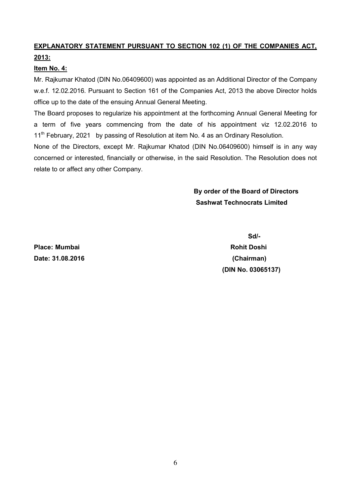# **EXPLANATORY STATEMENT PURSUANT TO SECTION 102 (1) OF THE COMPANIES ACT, 2013:**

# **Item No. 4:**

Mr. Rajkumar Khatod (DIN No.06409600) was appointed as an Additional Director of the Company w.e.f. 12.02.2016. Pursuant to Section 161 of the Companies Act, 2013 the above Director holds office up to the date of the ensuing Annual General Meeting.

The Board proposes to regularize his appointment at the forthcoming Annual General Meeting for a term of five years commencing from the date of his appointment viz 12.02.2016 to 11<sup>th</sup> February, 2021 by passing of Resolution at item No. 4 as an Ordinary Resolution.

None of the Directors, except Mr. Rajkumar Khatod (DIN No.06409600) himself is in any way concerned or interested, financially or otherwise, in the said Resolution. The Resolution does not relate to or affect any other Company.

> **By order of the Board of Directors Sashwat Technocrats Limited**

**Place: Mumbai Rohit Doshi Date: 31.08.2016 (Chairman)** 

 **Sd/- (DIN No. 03065137)**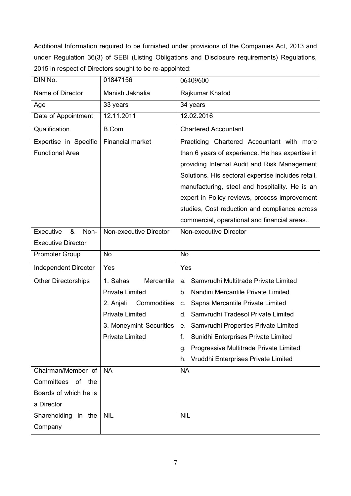Additional Information required to be furnished under provisions of the Companies Act, 2013 and under Regulation 36(3) of SEBI (Listing Obligations and Disclosure requirements) Regulations, 2015 in respect of Directors sought to be re-appointed:

| DIN No.                     | 01847156                 | 06409600                                           |
|-----------------------------|--------------------------|----------------------------------------------------|
| Name of Director            | Manish Jakhalia          | Rajkumar Khatod                                    |
| Age                         | 33 years                 | 34 years                                           |
| Date of Appointment         | 12.11.2011               | 12.02.2016                                         |
| Qualification               | <b>B.Com</b>             | <b>Chartered Accountant</b>                        |
| Expertise in Specific       | <b>Financial market</b>  | Practicing Chartered Accountant with more          |
| <b>Functional Area</b>      |                          | than 6 years of experience. He has expertise in    |
|                             |                          | providing Internal Audit and Risk Management       |
|                             |                          | Solutions. His sectoral expertise includes retail, |
|                             |                          | manufacturing, steel and hospitality. He is an     |
|                             |                          | expert in Policy reviews, process improvement      |
|                             |                          | studies, Cost reduction and compliance across      |
|                             |                          | commercial, operational and financial areas        |
| Executive<br>&<br>Non-      | Non-executive Director   | Non-executive Director                             |
| <b>Executive Director</b>   |                          |                                                    |
| <b>Promoter Group</b>       | <b>No</b>                | <b>No</b>                                          |
| <b>Independent Director</b> | Yes                      | Yes                                                |
| <b>Other Directorships</b>  | Mercantile<br>1. Sahas   | Samvrudhi Multitrade Private Limited<br>a.         |
|                             | <b>Private Limited</b>   | b. Nandini Mercantile Private Limited              |
|                             | 2. Anjali<br>Commodities | Sapna Mercantile Private Limited<br>C.             |
|                             | <b>Private Limited</b>   | Samvrudhi Tradesol Private Limited<br>d.           |
|                             | 3. Moneymint Securities  | e. Samvrudhi Properties Private Limited            |
|                             | <b>Private Limited</b>   | Sunidhi Enterprises Private Limited<br>f.          |
|                             |                          | Progressive Multitrade Private Limited<br>g.       |
|                             |                          | Vruddhi Enterprises Private Limited<br>h.          |
| Chairman/Member of          | <b>NA</b>                | <b>NA</b>                                          |
| Committees of<br>the        |                          |                                                    |
| Boards of which he is       |                          |                                                    |
| a Director                  |                          |                                                    |
| Shareholding<br>in the      | <b>NIL</b>               | <b>NIL</b>                                         |
| Company                     |                          |                                                    |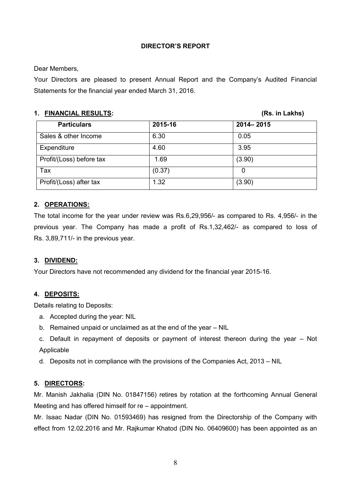# **DIRECTOR'S REPORT**

Dear Members,

Your Directors are pleased to present Annual Report and the Company's Audited Financial Statements for the financial year ended March 31, 2016.

# **1. FINANCIAL RESULTS: (Rs. in Lakhs)**

| <b>Particulars</b>       | 2015-16 | 2014-2015 |
|--------------------------|---------|-----------|
| Sales & other Income     | 6.30    | 0.05      |
| Expenditure              | 4.60    | 3.95      |
| Profit/(Loss) before tax | 1.69    | (3.90)    |
| Tax                      | (0.37)  | 0         |
| Profit/(Loss) after tax  | 1.32    | (3.90)    |

# **2. OPERATIONS:**

The total income for the year under review was Rs.6,29,956/- as compared to Rs. 4,956/- in the previous year. The Company has made a profit of Rs.1,32,462/- as compared to loss of Rs. 3,89,711/- in the previous year.

# **3. DIVIDEND:**

Your Directors have not recommended any dividend for the financial year 2015-16.

# **4. DEPOSITS:**

Details relating to Deposits:

- a. Accepted during the year: NIL
- b. Remained unpaid or unclaimed as at the end of the year NIL
- c. Default in repayment of deposits or payment of interest thereon during the year Not Applicable
- d. Deposits not in compliance with the provisions of the Companies Act, 2013 NIL

# **5. DIRECTORS:**

Mr. Manish Jakhalia (DIN No. 01847156) retires by rotation at the forthcoming Annual General Meeting and has offered himself for re – appointment.

Mr. Isaac Nadar (DIN No. 01593469) has resigned from the Directorship of the Company with effect from 12.02.2016 and Mr. Rajkumar Khatod (DIN No. 06409600) has been appointed as an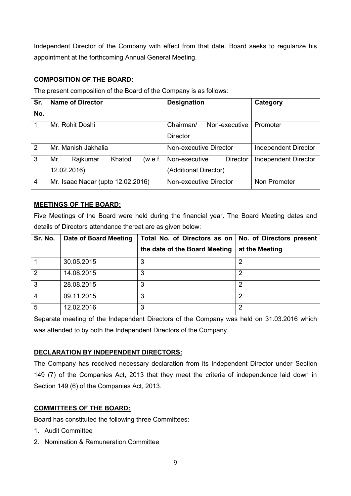Independent Director of the Company with effect from that date. Board seeks to regularize his appointment at the forthcoming Annual General Meeting.

# **COMPOSITION OF THE BOARD:**

The present composition of the Board of the Company is as follows:

| Sr.            | <b>Name of Director</b>              | <b>Designation</b>               | Category                    |
|----------------|--------------------------------------|----------------------------------|-----------------------------|
| No.            |                                      |                                  |                             |
| $\mathbf 1$    | Mr. Rohit Doshi                      | Chairman/<br>Non-executive       | Promoter                    |
|                |                                      | <b>Director</b>                  |                             |
| $\overline{2}$ | Mr. Manish Jakhalia                  | Non-executive Director           | <b>Independent Director</b> |
| 3              | Khatod<br>Mr.<br>Rajkumar<br>(w.e.f. | Non-executive<br><b>Director</b> | <b>Independent Director</b> |
|                | 12.02.2016)                          | (Additional Director)            |                             |
| $\overline{4}$ | Mr. Isaac Nadar (upto 12.02.2016)    | Non-executive Director           | Non Promoter                |

# **MEETINGS OF THE BOARD:**

Five Meetings of the Board were held during the financial year. The Board Meeting dates and details of Directors attendance thereat are as given below:

| Sr. No.        | Date of Board Meeting | Total No. of Directors as on   No. of Directors present |                |
|----------------|-----------------------|---------------------------------------------------------|----------------|
|                |                       | the date of the Board Meeting                           | at the Meeting |
|                | 30.05.2015            | 3                                                       | ⌒              |
| 2              | 14.08.2015            | 3                                                       | 2              |
| $\mathbf{3}$   | 28.08.2015            | 3                                                       |                |
| $\overline{4}$ | 09.11.2015            | 3                                                       | 2              |
| 5              | 12.02.2016            | 3                                                       | 2              |

Separate meeting of the Independent Directors of the Company was held on 31.03.2016 which was attended to by both the Independent Directors of the Company.

# **DECLARATION BY INDEPENDENT DIRECTORS:**

The Company has received necessary declaration from its Independent Director under Section 149 (7) of the Companies Act, 2013 that they meet the criteria of independence laid down in Section 149 (6) of the Companies Act, 2013.

# **COMMITTEES OF THE BOARD:**

Board has constituted the following three Committees:

- 1. Audit Committee
- 2. Nomination & Remuneration Committee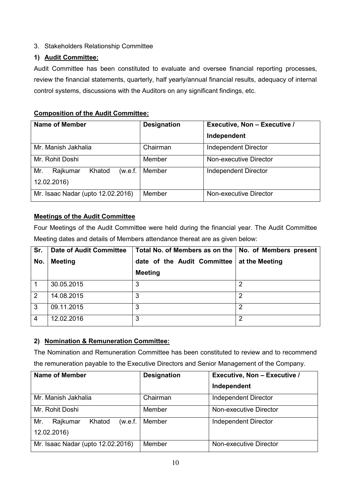# 3. Stakeholders Relationship Committee

# **1) Audit Committee:**

Audit Committee has been constituted to evaluate and oversee financial reporting processes, review the financial statements, quarterly, half yearly/annual financial results, adequacy of internal control systems, discussions with the Auditors on any significant findings, etc.

# **Composition of the Audit Committee:**

| <b>Name of Member</b>                               | <b>Designation</b> | <b>Executive, Non - Executive /</b><br>Independent |
|-----------------------------------------------------|--------------------|----------------------------------------------------|
| Mr. Manish Jakhalia                                 | Chairman           | Independent Director                               |
| Mr. Rohit Doshi                                     | Member             | Non-executive Director                             |
| Mr.<br>Rajkumar<br>Khatod<br>(w.e.f.<br>12.02.2016) | Member             | <b>Independent Director</b>                        |
| Mr. Isaac Nadar (upto 12.02.2016)                   | Member             | Non-executive Director                             |

# **Meetings of the Audit Committee**

Four Meetings of the Audit Committee were held during the financial year. The Audit Committee Meeting dates and details of Members attendance thereat are as given below:

| Sr.            | <b>Date of Audit Committee</b> | Total No. of Members as on the   No. of Members present |                |
|----------------|--------------------------------|---------------------------------------------------------|----------------|
| No.            | <b>Meeting</b>                 | date of the Audit Committee                             | at the Meeting |
|                |                                | <b>Meeting</b>                                          |                |
|                | 30.05.2015                     | 3                                                       | 2              |
| 2              | 14.08.2015                     | 3                                                       | 2              |
| 3              | 09.11.2015                     | 3                                                       | 2              |
| $\overline{4}$ | 12.02.2016                     | 3                                                       | 2              |

# **2) Nomination & Remuneration Committee:**

The Nomination and Remuneration Committee has been constituted to review and to recommend the remuneration payable to the Executive Directors and Senior Management of the Company.

| <b>Name of Member</b>                               | <b>Designation</b> | Executive, Non - Executive / |
|-----------------------------------------------------|--------------------|------------------------------|
|                                                     |                    | Independent                  |
| Mr. Manish Jakhalia                                 | Chairman           | <b>Independent Director</b>  |
| Mr. Rohit Doshi                                     | Member             | Non-executive Director       |
| Mr.<br>Khatod<br>Rajkumar<br>(w.e.f.<br>12.02.2016) | Member             | <b>Independent Director</b>  |
| Mr. Isaac Nadar (upto 12.02.2016)                   | Member             | Non-executive Director       |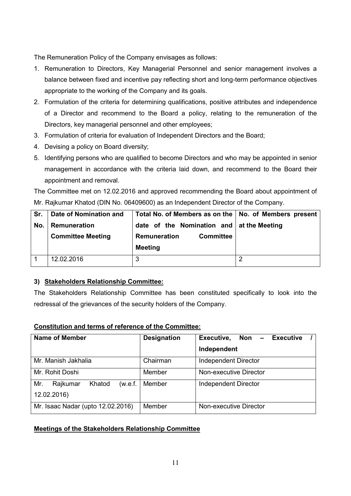The Remuneration Policy of the Company envisages as follows:

- 1. Remuneration to Directors, Key Managerial Personnel and senior management involves a balance between fixed and incentive pay reflecting short and long-term performance objectives appropriate to the working of the Company and its goals.
- 2. Formulation of the criteria for determining qualifications, positive attributes and independence of a Director and recommend to the Board a policy, relating to the remuneration of the Directors, key managerial personnel and other employees;
- 3. Formulation of criteria for evaluation of Independent Directors and the Board;
- 4. Devising a policy on Board diversity;
- 5. Identifying persons who are qualified to become Directors and who may be appointed in senior management in accordance with the criteria laid down, and recommend to the Board their appointment and removal.

The Committee met on 12.02.2016 and approved recommending the Board about appointment of Mr. Rajkumar Khatod (DIN No. 06409600) as an Independent Director of the Company.

| Sr. | Date of Nomination and   | Total No. of Members as on the   No. of Members present |   |
|-----|--------------------------|---------------------------------------------------------|---|
| No. | Remuneration             | date of the Nomination and $\vert$ at the Meeting       |   |
|     | <b>Committee Meeting</b> | <b>Committee</b><br>Remuneration                        |   |
|     |                          | <b>Meeting</b>                                          |   |
|     | 12.02.2016               | 3                                                       | ◠ |

# **3) Stakeholders Relationship Committee:**

The Stakeholders Relationship Committee has been constituted specifically to look into the redressal of the grievances of the security holders of the Company.

# **Constitution and terms of reference of the Committee:**

| <b>Name of Member</b>                               | <b>Designation</b> | Executive,<br><b>Executive</b><br>Non $-$<br>Independent |  |
|-----------------------------------------------------|--------------------|----------------------------------------------------------|--|
| Mr. Manish Jakhalia                                 | Chairman           | <b>Independent Director</b>                              |  |
| Mr. Rohit Doshi                                     | Member             | Non-executive Director                                   |  |
| Mr.<br>Khatod<br>(w.e.f.<br>Rajkumar<br>12.02.2016) | Member             | <b>Independent Director</b>                              |  |
| Mr. Isaac Nadar (upto 12.02.2016)                   | Member             | Non-executive Director                                   |  |

# **Meetings of the Stakeholders Relationship Committee**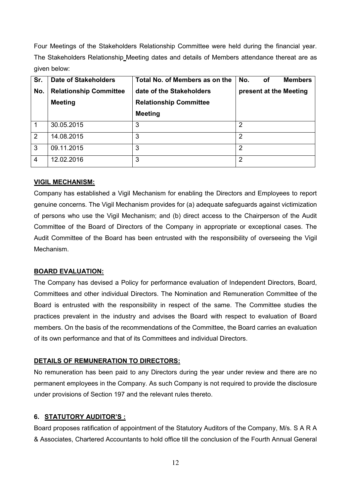Four Meetings of the Stakeholders Relationship Committee were held during the financial year. The Stakeholders Relationship Meeting dates and details of Members attendance thereat are as given below:

| Sr.            | <b>Date of Stakeholders</b>   | Total No. of Members as on the                     | <b>Members</b><br>No.<br>оf |
|----------------|-------------------------------|----------------------------------------------------|-----------------------------|
| No.            | <b>Relationship Committee</b> | date of the Stakeholders<br>present at the Meeting |                             |
|                | <b>Meeting</b>                | <b>Relationship Committee</b>                      |                             |
|                |                               | <b>Meeting</b>                                     |                             |
| -1             | 30.05.2015                    | 3                                                  | 2                           |
| $\overline{2}$ | 14.08.2015                    | 3                                                  | 2                           |
| 3              | 09.11.2015                    | 3                                                  | $\overline{2}$              |
| $\overline{4}$ | 12.02.2016                    | 3                                                  | 2                           |

# **VIGIL MECHANISM:**

Company has established a Vigil Mechanism for enabling the Directors and Employees to report genuine concerns. The Vigil Mechanism provides for (a) adequate safeguards against victimization of persons who use the Vigil Mechanism; and (b) direct access to the Chairperson of the Audit Committee of the Board of Directors of the Company in appropriate or exceptional cases. The Audit Committee of the Board has been entrusted with the responsibility of overseeing the Vigil Mechanism.

# **BOARD EVALUATION:**

The Company has devised a Policy for performance evaluation of Independent Directors, Board, Committees and other individual Directors. The Nomination and Remuneration Committee of the Board is entrusted with the responsibility in respect of the same. The Committee studies the practices prevalent in the industry and advises the Board with respect to evaluation of Board members. On the basis of the recommendations of the Committee, the Board carries an evaluation of its own performance and that of its Committees and individual Directors.

# **DETAILS OF REMUNERATION TO DIRECTORS:**

No remuneration has been paid to any Directors during the year under review and there are no permanent employees in the Company. As such Company is not required to provide the disclosure under provisions of Section 197 and the relevant rules thereto.

# **6. STATUTORY AUDITOR'S :**

Board proposes ratification of appointment of the Statutory Auditors of the Company, M/s. S A R A & Associates, Chartered Accountants to hold office till the conclusion of the Fourth Annual General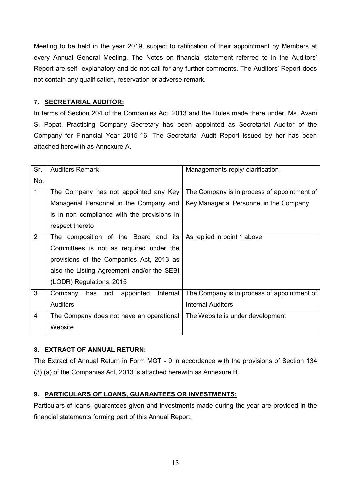Meeting to be held in the year 2019, subject to ratification of their appointment by Members at every Annual General Meeting. The Notes on financial statement referred to in the Auditors' Report are self- explanatory and do not call for any further comments. The Auditors' Report does not contain any qualification, reservation or adverse remark.

# **7. SECRETARIAL AUDITOR:**

In terms of Section 204 of the Companies Act, 2013 and the Rules made there under, Ms. Avani S. Popat, Practicing Company Secretary has been appointed as Secretarial Auditor of the Company for Financial Year 2015-16. The Secretarial Audit Report issued by her has been attached herewith as Annexure A.

| Sr.            | <b>Auditors Remark</b>                         | Managements reply/ clarification            |
|----------------|------------------------------------------------|---------------------------------------------|
| No.            |                                                |                                             |
| $\mathbf{1}$   | The Company has not appointed any Key          | The Company is in process of appointment of |
|                | Managerial Personnel in the Company and        | Key Managerial Personnel in the Company     |
|                | is in non compliance with the provisions in    |                                             |
|                | respect thereto                                |                                             |
| 2              | The composition of the Board and<br>its        | As replied in point 1 above                 |
|                | Committees is not as required under the        |                                             |
|                | provisions of the Companies Act, 2013 as       |                                             |
|                | also the Listing Agreement and/or the SEBI     |                                             |
|                | (LODR) Regulations, 2015                       |                                             |
| 3              | Internal<br>appointed<br>Company<br>has<br>not | The Company is in process of appointment of |
|                | <b>Auditors</b>                                | Internal Auditors                           |
| $\overline{4}$ | The Company does not have an operational       | The Website is under development            |
|                | Website                                        |                                             |

# **8. EXTRACT OF ANNUAL RETURN:**

The Extract of Annual Return in Form MGT - 9 in accordance with the provisions of Section 134 (3) (a) of the Companies Act, 2013 is attached herewith as Annexure B.

# **9. PARTICULARS OF LOANS, GUARANTEES OR INVESTMENTS:**

Particulars of loans, guarantees given and investments made during the year are provided in the financial statements forming part of this Annual Report.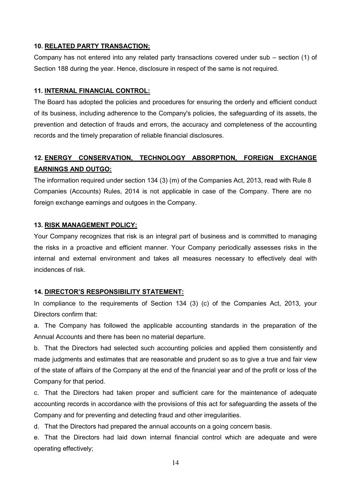# **10. RELATED PARTY TRANSACTION:**

Company has not entered into any related party transactions covered under sub – section (1) of Section 188 during the year. Hence, disclosure in respect of the same is not required.

#### **11. INTERNAL FINANCIAL CONTROL:**

The Board has adopted the policies and procedures for ensuring the orderly and efficient conduct of its business, including adherence to the Company's policies, the safeguarding of its assets, the prevention and detection of frauds and errors, the accuracy and completeness of the accounting records and the timely preparation of reliable financial disclosures.

# **12. ENERGY CONSERVATION, TECHNOLOGY ABSORPTION, FOREIGN EXCHANGE EARNINGS AND OUTGO:**

The information required under section 134 (3) (m) of the Companies Act, 2013, read with Rule 8 Companies (Accounts) Rules, 2014 is not applicable in case of the Company. There are no foreign exchange earnings and outgoes in the Company.

# **13. RISK MANAGEMENT POLICY:**

Your Company recognizes that risk is an integral part of business and is committed to managing the risks in a proactive and efficient manner. Your Company periodically assesses risks in the internal and external environment and takes all measures necessary to effectively deal with incidences of risk.

# **14. DIRECTOR'S RESPONSIBILITY STATEMENT:**

In compliance to the requirements of Section 134 (3) (c) of the Companies Act, 2013, your Directors confirm that:

a. The Company has followed the applicable accounting standards in the preparation of the Annual Accounts and there has been no material departure.

b. That the Directors had selected such accounting policies and applied them consistently and made judgments and estimates that are reasonable and prudent so as to give a true and fair view of the state of affairs of the Company at the end of the financial year and of the profit or loss of the Company for that period.

c. That the Directors had taken proper and sufficient care for the maintenance of adequate accounting records in accordance with the provisions of this act for safeguarding the assets of the Company and for preventing and detecting fraud and other irregularities.

d. That the Directors had prepared the annual accounts on a going concern basis.

e. That the Directors had laid down internal financial control which are adequate and were operating effectively;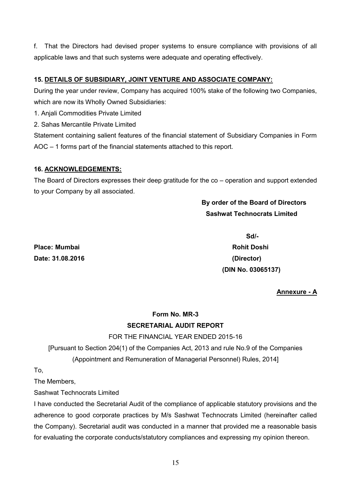f. That the Directors had devised proper systems to ensure compliance with provisions of all applicable laws and that such systems were adequate and operating effectively.

# **15. DETAILS OF SUBSIDIARY, JOINT VENTURE AND ASSOCIATE COMPANY:**

During the year under review, Company has acquired 100% stake of the following two Companies, which are now its Wholly Owned Subsidiaries:

1. Anjali Commodities Private Limited

2. Sahas Mercantile Private Limited

Statement containing salient features of the financial statement of Subsidiary Companies in Form AOC – 1 forms part of the financial statements attached to this report.

# **16. ACKNOWLEDGEMENTS:**

The Board of Directors expresses their deep gratitude for the co – operation and support extended to your Company by all associated.

# **By order of the Board of Directors Sashwat Technocrats Limited**

**Place: Mumbai Rohit Doshi Date: 31.08.2016 (Director)** 

 **Sd/- (DIN No. 03065137)** 

# **Annexure - A**

# **Form No. MR-3 SECRETARIAL AUDIT REPORT**

# FOR THE FINANCIAL YEAR ENDED 2015-16

[Pursuant to Section 204(1) of the Companies Act, 2013 and rule No.9 of the Companies (Appointment and Remuneration of Managerial Personnel) Rules, 2014]

To,

The Members,

Sashwat Technocrats Limited

I have conducted the Secretarial Audit of the compliance of applicable statutory provisions and the adherence to good corporate practices by M/s Sashwat Technocrats Limited (hereinafter called the Company). Secretarial audit was conducted in a manner that provided me a reasonable basis for evaluating the corporate conducts/statutory compliances and expressing my opinion thereon.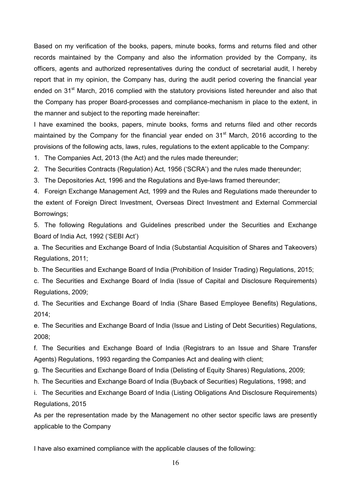Based on my verification of the books, papers, minute books, forms and returns filed and other records maintained by the Company and also the information provided by the Company, its officers, agents and authorized representatives during the conduct of secretarial audit, I hereby report that in my opinion, the Company has, during the audit period covering the financial year ended on 31<sup>st</sup> March, 2016 complied with the statutory provisions listed hereunder and also that the Company has proper Board-processes and compliance-mechanism in place to the extent, in the manner and subject to the reporting made hereinafter:

I have examined the books, papers, minute books, forms and returns filed and other records maintained by the Company for the financial year ended on  $31<sup>st</sup>$  March, 2016 according to the provisions of the following acts, laws, rules, regulations to the extent applicable to the Company:

1. The Companies Act, 2013 (the Act) and the rules made thereunder;

2. The Securities Contracts (Regulation) Act, 1956 ('SCRA') and the rules made thereunder;

3. The Depositories Act, 1996 and the Regulations and Bye-laws framed thereunder;

4. Foreign Exchange Management Act, 1999 and the Rules and Regulations made thereunder to the extent of Foreign Direct Investment, Overseas Direct Investment and External Commercial Borrowings;

5. The following Regulations and Guidelines prescribed under the Securities and Exchange Board of India Act, 1992 ('SEBI Act')

a. The Securities and Exchange Board of India (Substantial Acquisition of Shares and Takeovers) Regulations, 2011;

b. The Securities and Exchange Board of India (Prohibition of Insider Trading) Regulations, 2015;

c. The Securities and Exchange Board of India (Issue of Capital and Disclosure Requirements) Regulations, 2009;

d. The Securities and Exchange Board of India (Share Based Employee Benefits) Regulations, 2014;

e. The Securities and Exchange Board of India (Issue and Listing of Debt Securities) Regulations, 2008;

f. The Securities and Exchange Board of India (Registrars to an Issue and Share Transfer Agents) Regulations, 1993 regarding the Companies Act and dealing with client;

- g. The Securities and Exchange Board of India (Delisting of Equity Shares) Regulations, 2009;
- h. The Securities and Exchange Board of India (Buyback of Securities) Regulations, 1998; and

i. The Securities and Exchange Board of India (Listing Obligations And Disclosure Requirements) Regulations, 2015

As per the representation made by the Management no other sector specific laws are presently applicable to the Company

I have also examined compliance with the applicable clauses of the following: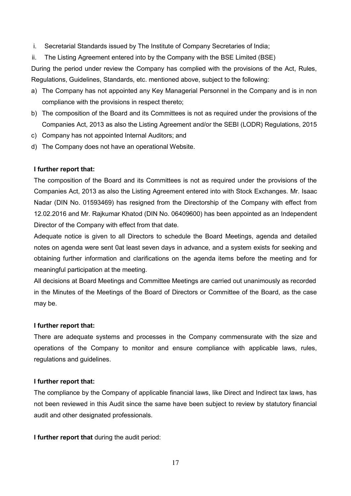- i. Secretarial Standards issued by The Institute of Company Secretaries of India;
- ii. The Listing Agreement entered into by the Company with the BSE Limited (BSE)

During the period under review the Company has complied with the provisions of the Act, Rules, Regulations, Guidelines, Standards, etc. mentioned above, subject to the following:

- a) The Company has not appointed any Key Managerial Personnel in the Company and is in non compliance with the provisions in respect thereto;
- b) The composition of the Board and its Committees is not as required under the provisions of the Companies Act, 2013 as also the Listing Agreement and/or the SEBI (LODR) Regulations, 2015
- c) Company has not appointed Internal Auditors; and
- d) The Company does not have an operational Website.

#### **I further report that:**

The composition of the Board and its Committees is not as required under the provisions of the Companies Act, 2013 as also the Listing Agreement entered into with Stock Exchanges. Mr. Isaac Nadar (DIN No. 01593469) has resigned from the Directorship of the Company with effect from 12.02.2016 and Mr. Rajkumar Khatod (DIN No. 06409600) has been appointed as an Independent Director of the Company with effect from that date.

Adequate notice is given to all Directors to schedule the Board Meetings, agenda and detailed notes on agenda were sent 0at least seven days in advance, and a system exists for seeking and obtaining further information and clarifications on the agenda items before the meeting and for meaningful participation at the meeting.

All decisions at Board Meetings and Committee Meetings are carried out unanimously as recorded in the Minutes of the Meetings of the Board of Directors or Committee of the Board, as the case may be.

#### **I further report that:**

There are adequate systems and processes in the Company commensurate with the size and operations of the Company to monitor and ensure compliance with applicable laws, rules, regulations and guidelines.

#### **I further report that:**

The compliance by the Company of applicable financial laws, like Direct and Indirect tax laws, has not been reviewed in this Audit since the same have been subject to review by statutory financial audit and other designated professionals.

**I further report that** during the audit period:

17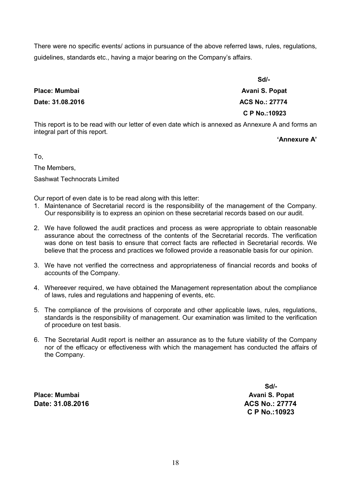There were no specific events/ actions in pursuance of the above referred laws, rules, regulations, guidelines, standards etc., having a major bearing on the Company's affairs.

|                      | $Sd$ -                |
|----------------------|-----------------------|
| <b>Place: Mumbai</b> | Avani S. Popat        |
| Date: 31.08.2016     | <b>ACS No.: 27774</b> |
|                      | C P No.: 10923        |
|                      |                       |

This report is to be read with our letter of even date which is annexed as Annexure A and forms an integral part of this report.

**'Annexure A'**

To,

The Members, Sashwat Technocrats Limited

Our report of even date is to be read along with this letter:

- 1. Maintenance of Secretarial record is the responsibility of the management of the Company. Our responsibility is to express an opinion on these secretarial records based on our audit.
- 2. We have followed the audit practices and process as were appropriate to obtain reasonable assurance about the correctness of the contents of the Secretarial records. The verification was done on test basis to ensure that correct facts are reflected in Secretarial records. We believe that the process and practices we followed provide a reasonable basis for our opinion.
- 3. We have not verified the correctness and appropriateness of financial records and books of accounts of the Company.
- 4. Whereever required, we have obtained the Management representation about the compliance of laws, rules and regulations and happening of events, etc.
- 5. The compliance of the provisions of corporate and other applicable laws, rules, regulations, standards is the responsibility of management. Our examination was limited to the verification of procedure on test basis.
- 6. The Secretarial Audit report is neither an assurance as to the future viability of the Company nor of the efficacy or effectiveness with which the management has conducted the affairs of the Company.

**Place: Mumbai Avani S. Popat**  Place: Mumbai Avani S. Popat **Date: 31.08.2016 ACS No.: 27774 ACS No.: 27774** 

**Sd/-**  $S$ d/- **C P No.:10923**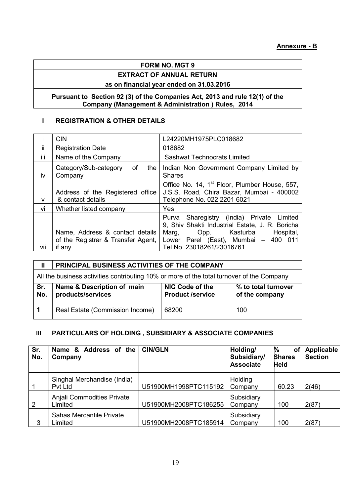# **FORM NO. MGT 9**

# **EXTRACT OF ANNUAL RETURN**

# **as on financial year ended on 31.03.2016**

# **Pursuant to Section 92 (3) of the Companies Act, 2013 and rule 12(1) of the Company (Management & Administration ) Rules, 2014**

# **I REGISTRATION & OTHER DETAILS**

|     | <b>CIN</b>                                                            | L24220MH1975PLC018682                                                                                                                                                       |
|-----|-----------------------------------------------------------------------|-----------------------------------------------------------------------------------------------------------------------------------------------------------------------------|
| ii. | <b>Registration Date</b>                                              | 018682                                                                                                                                                                      |
| iii | Name of the Company                                                   | <b>Sashwat Technocrats Limited</b>                                                                                                                                          |
| iv  | Category/Sub-category<br>of<br>the<br>Company                         | Indian Non Government Company Limited by<br><b>Shares</b>                                                                                                                   |
| v   | Address of the Registered office<br>& contact details                 | Office No. 14, 1 <sup>st</sup> Floor, Plumber House, 557,<br>J.S.S. Road, Chira Bazar, Mumbai - 400002<br>Telephone No. 022 2201 6021                                       |
| vi  | Whether listed company                                                | Yes                                                                                                                                                                         |
|     | Name, Address & contact details<br>of the Registrar & Transfer Agent, | Purva Sharegistry (India) Private Limited<br>9, Shiv Shakti Industrial Estate, J. R. Boricha<br>Opp. Kasturba<br>Hospital,<br>Marg,<br>Lower Parel (East), Mumbai - 400 011 |
| VÌÌ | if any.                                                               | Tel No. 23018261/23016761                                                                                                                                                   |

| $\mathbf{I}$ | PRINCIPAL BUSINESS ACTIVITIES OF THE COMPANY                                              |                                            |                                       |  |  |  |  |  |
|--------------|-------------------------------------------------------------------------------------------|--------------------------------------------|---------------------------------------|--|--|--|--|--|
|              | All the business activities contributing 10% or more of the total turnover of the Company |                                            |                                       |  |  |  |  |  |
| Sr.<br>No.   | Name & Description of main<br>products/services                                           | NIC Code of the<br><b>Product /service</b> | % to total turnover<br>of the company |  |  |  |  |  |
|              | Real Estate (Commission Income)                                                           | 68200                                      | 100                                   |  |  |  |  |  |

# **III PARTICULARS OF HOLDING , SUBSIDIARY & ASSOCIATE COMPANIES**

| Sr.<br>No. | Name & Address of the<br>Company       | <b>CIN/GLN</b>        | Holding/<br>Subsidiary/<br><b>Associate</b> | ₩<br><b>of</b><br><b>Shares</b><br><b>Held</b> | Applicable<br><b>Section</b> |
|------------|----------------------------------------|-----------------------|---------------------------------------------|------------------------------------------------|------------------------------|
|            | Singhal Merchandise (India)<br>Pvt Ltd | U51900MH1998PTC115192 | Holding<br>Company                          | 60.23                                          | 2(46)                        |
| 2          | Anjali Commodities Private<br>Limited  | U51900MH2008PTC186255 | Subsidiary<br>Company                       | 100                                            | 2(87)                        |
| 3          | Sahas Mercantile Private<br>Limited    | U51900MH2008PTC185914 | Subsidiary<br>Company                       | 100                                            | 2(87)                        |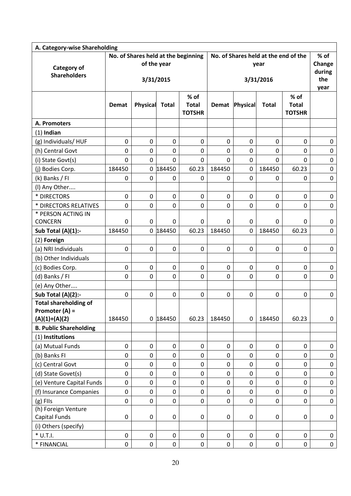| A. Category-wise Shareholding             |                  |                  |                  |                                       |                                              |                  |              |                                       |                                 |  |
|-------------------------------------------|------------------|------------------|------------------|---------------------------------------|----------------------------------------------|------------------|--------------|---------------------------------------|---------------------------------|--|
| <b>Category of</b><br><b>Shareholders</b> |                  | of the year      |                  | No. of Shares held at the beginning   | No. of Shares held at the end of the<br>year |                  |              |                                       | % of<br>Change<br>during<br>the |  |
|                                           |                  |                  | 3/31/2015        |                                       |                                              | 3/31/2016        |              |                                       |                                 |  |
|                                           | <b>Demat</b>     | Physical         | <b>Total</b>     | % of<br><b>Total</b><br><b>TOTSHR</b> |                                              | Demat Physical   | <b>Total</b> | % of<br><b>Total</b><br><b>TOTSHR</b> | year                            |  |
| A. Promoters                              |                  |                  |                  |                                       |                                              |                  |              |                                       |                                 |  |
| $(1)$ Indian                              |                  |                  |                  |                                       |                                              |                  |              |                                       |                                 |  |
| (g) Individuals/HUF                       | $\mathbf 0$      | $\mathbf 0$      | $\mathbf 0$      | $\mathbf 0$                           | $\mathbf 0$                                  | $\mathbf 0$      | $\mathbf 0$  | 0                                     | $\mathbf 0$                     |  |
| (h) Central Govt                          | $\mathbf 0$      | $\mathbf 0$      | 0                | 0                                     | 0                                            | 0                | 0            | 0                                     | 0                               |  |
| (i) State Govt(s)                         | $\overline{0}$   | $\mathbf{0}$     | $\overline{0}$   | $\mathbf 0$                           | $\mathbf 0$                                  | $\mathbf 0$      | 0            | $\overline{0}$                        | $\mathbf 0$                     |  |
| (j) Bodies Corp.                          | 184450           |                  | 0 184450         | 60.23                                 | 184450                                       | $\mathbf 0$      | 184450       | 60.23                                 | $\pmb{0}$                       |  |
| (k) Banks / FI                            | $\mathbf 0$      | $\mathbf 0$      | 0                | 0                                     | 0                                            | $\mathbf 0$      | 0            | 0                                     | $\pmb{0}$                       |  |
| (I) Any Other                             |                  |                  |                  |                                       |                                              |                  |              |                                       |                                 |  |
| * DIRECTORS                               | $\mathbf 0$      | $\mathbf 0$      | $\mathbf 0$      | $\mathbf 0$                           | $\mathbf 0$                                  | $\mathbf 0$      | 0            | $\mathbf 0$                           | 0                               |  |
| * DIRECTORS RELATIVES                     | $\mathbf 0$      | $\mathbf 0$      | 0                | $\mathbf 0$                           | 0                                            | $\mathbf 0$      | 0            | 0                                     | $\mathbf 0$                     |  |
| * PERSON ACTING IN                        |                  |                  |                  |                                       |                                              |                  |              |                                       |                                 |  |
| <b>CONCERN</b>                            | $\mathbf 0$      | $\mathbf 0$      | 0                | 0                                     | 0                                            | 0                | 0            | 0                                     | 0                               |  |
| Sub Total $(A)(1)$ :-                     | 184450           |                  | 0 184450         | 60.23                                 | 184450                                       | $\mathbf 0$      | 184450       | 60.23                                 | $\mathbf 0$                     |  |
| (2) Foreign                               |                  |                  |                  |                                       |                                              |                  |              |                                       |                                 |  |
| (a) NRI Individuals                       | $\mathbf 0$      | $\mathbf 0$      | $\mathbf 0$      | $\mathbf 0$                           | $\mathbf 0$                                  | $\mathbf 0$      | 0            | $\mathbf 0$                           | $\pmb{0}$                       |  |
| (b) Other Individuals                     |                  |                  |                  |                                       |                                              |                  |              |                                       |                                 |  |
| (c) Bodies Corp.                          | $\boldsymbol{0}$ | 0                | 0                | 0                                     | 0                                            | 0                | 0            | 0                                     | 0                               |  |
| (d) Banks / FI                            | $\mathbf 0$      | $\mathbf 0$      | $\mathbf 0$      | $\mathbf 0$                           | $\mathbf 0$                                  | $\mathbf 0$      | 0            | $\mathbf 0$                           | $\mathbf 0$                     |  |
| (e) Any Other                             |                  |                  |                  |                                       |                                              |                  |              |                                       |                                 |  |
| Sub Total (A)(2):-                        | $\mathbf 0$      | $\mathbf 0$      | $\mathbf 0$      | $\mathbf 0$                           | $\boldsymbol{0}$                             | $\mathbf 0$      | 0            | 0                                     | $\mathbf 0$                     |  |
| <b>Total shareholding of</b>              |                  |                  |                  |                                       |                                              |                  |              |                                       |                                 |  |
| Promoter (A) =<br>$(A)(1)+(A)(2)$         | 184450           |                  | 0 184450         | 60.23                                 | 184450                                       | $\boldsymbol{0}$ | 184450       | 60.23                                 | $\mathbf 0$                     |  |
| <b>B. Public Shareholding</b>             |                  |                  |                  |                                       |                                              |                  |              |                                       |                                 |  |
| (1) Institutions                          |                  |                  |                  |                                       |                                              |                  |              |                                       |                                 |  |
| (a) Mutual Funds                          | $\pmb{0}$        | $\mathbf 0$      | $\pmb{0}$        | $\pmb{0}$                             | $\pmb{0}$                                    | $\boldsymbol{0}$ | 0            | 0                                     | 0                               |  |
| (b) Banks FI                              | $\mathbf 0$      | $\boldsymbol{0}$ | $\mathbf 0$      | $\mathbf 0$                           | $\boldsymbol{0}$                             | $\mathbf 0$      | 0            | 0                                     | $\pmb{0}$                       |  |
| (c) Central Govt                          | $\mathbf 0$      | $\mathbf 0$      | $\mathbf 0$      | $\pmb{0}$                             | 0                                            | $\mathbf 0$      | 0            | $\mathbf 0$                           | $\mathbf 0$                     |  |
| (d) State Govet(s)                        | $\mathbf 0$      | $\mathbf 0$      | $\boldsymbol{0}$ | $\pmb{0}$                             | 0                                            | $\boldsymbol{0}$ | 0            | 0                                     | $\pmb{0}$                       |  |
| (e) Venture Capital Funds                 | $\mathbf 0$      | $\mathbf 0$      | $\mathbf 0$      | $\mathbf 0$                           | $\pmb{0}$                                    | $\mathbf 0$      | 0            | $\mathbf 0$                           | $\mathbf 0$                     |  |
| (f) Insurance Companies                   | $\mathbf 0$      | $\mathbf 0$      | $\boldsymbol{0}$ | $\pmb{0}$                             | $\pmb{0}$                                    | $\mathbf 0$      | $\pmb{0}$    | 0                                     | $\pmb{0}$                       |  |
| $(g)$ FIIs                                | $\mathbf 0$      | $\pmb{0}$        | $\boldsymbol{0}$ | $\boldsymbol{0}$                      | $\boldsymbol{0}$                             | $\boldsymbol{0}$ | $\pmb{0}$    | $\mathbf 0$                           | $\pmb{0}$                       |  |
| (h) Foreign Venture                       |                  |                  |                  |                                       |                                              |                  |              |                                       |                                 |  |
| <b>Capital Funds</b>                      | $\boldsymbol{0}$ | $\mathbf 0$      | 0                | $\pmb{0}$                             | $\pmb{0}$                                    | $\boldsymbol{0}$ | 0            | 0                                     | $\pmb{0}$                       |  |
| (i) Others (specify)                      |                  |                  |                  |                                       |                                              |                  |              |                                       |                                 |  |
| $*$ U.T.I.                                | $\pmb{0}$        | $\pmb{0}$        | $\pmb{0}$        | $\mathbf 0$                           | $\pmb{0}$                                    | $\mathbf 0$      | 0            | 0                                     | $\mathbf 0$                     |  |
| * FINANCIAL                               | $\pmb{0}$        | $\pmb{0}$        | $\pmb{0}$        | $\pmb{0}$                             | 0                                            | $\pmb{0}$        | 0            | 0                                     | 0                               |  |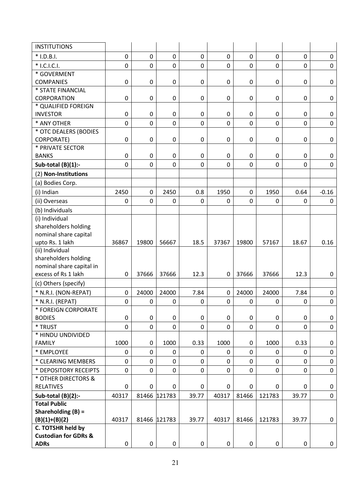| <b>INSTITUTIONS</b>             |                |             |                  |                |             |                |             |              |             |
|---------------------------------|----------------|-------------|------------------|----------------|-------------|----------------|-------------|--------------|-------------|
| $*$ I.D.B.I.                    | 0              | $\mathbf 0$ | $\mathbf 0$      | $\mathbf 0$    | $\mathbf 0$ | 0              | $\mathbf 0$ | $\mathbf 0$  | $\mathbf 0$ |
| * I.C.I.C.I.                    | 0              | $\mathbf 0$ | $\mathbf 0$      | 0              | $\mathbf 0$ | $\overline{0}$ | $\mathbf 0$ | $\mathbf 0$  | $\mathbf 0$ |
| * GOVERMENT                     |                |             |                  |                |             |                |             |              |             |
| <b>COMPANIES</b>                | 0              | 0           | $\boldsymbol{0}$ | 0              | 0           | 0              | $\mathbf 0$ | 0            | $\mathbf 0$ |
| * STATE FINANCIAL               |                |             |                  |                |             |                |             |              |             |
| <b>CORPORATION</b>              | 0              | 0           | $\boldsymbol{0}$ | 0              | 0           | 0              | $\mathbf 0$ | 0            | 0           |
| * QUALIFIED FOREIGN             |                |             |                  |                |             |                |             |              |             |
| <b>INVESTOR</b>                 | 0              | 0           | $\mathbf 0$      | 0              | 0           | 0              | $\mathbf 0$ | $\mathbf 0$  | 0           |
| * ANY OTHER                     | 0              | 0           | $\mathbf 0$      | 0              | 0           | 0              | $\mathbf 0$ | 0            | $\mathbf 0$ |
| * OTC DEALERS (BODIES           |                |             |                  |                |             |                |             |              |             |
| <b>CORPORATE)</b>               | 0              | 0           | $\boldsymbol{0}$ | 0              | 0           | 0              | $\mathbf 0$ | $\pmb{0}$    | $\mathbf 0$ |
| * PRIVATE SECTOR                |                |             |                  |                |             |                |             |              |             |
| <b>BANKS</b>                    | 0              | $\pmb{0}$   | $\boldsymbol{0}$ | $\mathbf 0$    | $\mathbf 0$ | $\mathbf 0$    | $\mathbf 0$ | $\mathbf 0$  | 0           |
| Sub-total $(B)(1)$ :-           | 0              | $\mathbf 0$ | $\mathbf 0$      | $\overline{0}$ | 0           | $\mathbf 0$    | $\mathbf 0$ | $\mathbf{0}$ | $\mathbf 0$ |
| (2) Non-Institutions            |                |             |                  |                |             |                |             |              |             |
| (a) Bodies Corp.                |                |             |                  |                |             |                |             |              |             |
| (i) Indian                      | 2450           | $\mathbf 0$ | 2450             | 0.8            | 1950        | 0              | 1950        | 0.64         | $-0.16$     |
| (ii) Overseas                   | 0              | $\mathbf 0$ | 0                | 0              | 0           | 0              | 0           | $\mathbf{0}$ | 0           |
| (b) Individuals                 |                |             |                  |                |             |                |             |              |             |
| (i) Individual                  |                |             |                  |                |             |                |             |              |             |
| shareholders holding            |                |             |                  |                |             |                |             |              |             |
| nominal share capital           |                |             |                  |                |             |                |             |              |             |
| upto Rs. 1 lakh                 | 36867          | 19800       | 56667            | 18.5           | 37367       | 19800          | 57167       | 18.67        | 0.16        |
| (ii) Individual                 |                |             |                  |                |             |                |             |              |             |
| shareholders holding            |                |             |                  |                |             |                |             |              |             |
| nominal share capital in        |                |             |                  |                |             |                |             |              |             |
| excess of Rs 1 lakh             | $\mathbf 0$    | 37666       | 37666            | 12.3           | $\mathbf 0$ | 37666          | 37666       | 12.3         | $\mathbf 0$ |
| (c) Others (specify)            |                |             |                  |                |             |                |             |              |             |
| * N.R.I. (NON-REPAT)            | 0              | 24000       | 24000            | 7.84           | $\mathbf 0$ | 24000          | 24000       | 7.84         | $\mathbf 0$ |
| * N.R.I. (REPAT)                | 0              | 0           | $\mathbf 0$      | 0              | $\mathbf 0$ | $\mathbf 0$    | $\mathbf 0$ | $\mathbf 0$  | $\pmb{0}$   |
| * FOREIGN CORPORATE             |                |             |                  |                |             |                |             |              |             |
| <b>BODIES</b>                   | 0              | 0           | $\mathbf 0$      | 0              | 0           | 0              | $\mathbf 0$ | $\mathbf 0$  | 0           |
| * TRUST                         | $\overline{0}$ | $\mathbf 0$ | $\mathbf 0$      | $\mathbf 0$    | $\mathbf 0$ | 0              | $\mathbf 0$ | $\mathbf 0$  | $\mathbf 0$ |
| * HINDU UNDIVIDED               |                |             |                  |                |             |                |             |              |             |
| <b>FAMILY</b>                   | 1000           | 0           | 1000             | 0.33           | 1000        | 0              | 1000        | 0.33         | 0           |
| * EMPLOYEE                      | 0              | $\mathbf 0$ | $\Omega$         | $\Omega$       | 0           | 0              | 0           | $\mathbf{0}$ | $\mathbf 0$ |
| * CLEARING MEMBERS              | 0              | $\mathbf 0$ | $\pmb{0}$        | 0              | $\mathbf 0$ | $\mathbf 0$    | $\mathbf 0$ | $\pmb{0}$    | $\mathbf 0$ |
| * DEPOSITORY RECEIPTS           | 0              | $\mathbf 0$ | $\mathbf 0$      | 0              | $\mathbf 0$ | 0              | $\mathbf 0$ | $\mathbf{0}$ | $\mathbf 0$ |
| * OTHER DIRECTORS &             |                |             |                  |                |             |                |             |              |             |
| <b>RELATIVES</b>                | $\mathbf 0$    | $\mathbf 0$ | $\mathbf 0$      | 0              | 0           | 0              | 0           | 0            | 0           |
| Sub-total $(B)(2)$ :-           | 40317          |             | 81466 121783     | 39.77          | 40317       | 81466          | 121783      | 39.77        | $\mathbf 0$ |
| <b>Total Public</b>             |                |             |                  |                |             |                |             |              |             |
| Shareholding $(B)$ =            |                |             |                  |                |             |                |             |              |             |
| $(B)(1)+(B)(2)$                 | 40317          |             | 81466 121783     | 39.77          | 40317       | 81466          | 121783      | 39.77        | 0           |
| C. TOTSHR held by               |                |             |                  |                |             |                |             |              |             |
| <b>Custodian for GDRs &amp;</b> |                |             |                  |                |             |                |             |              |             |
| <b>ADRs</b>                     | 0              | 0           | 0                | 0              | 0           | $\mathbf 0$    | $\mathbf 0$ | $\mathbf 0$  | $\mathbf 0$ |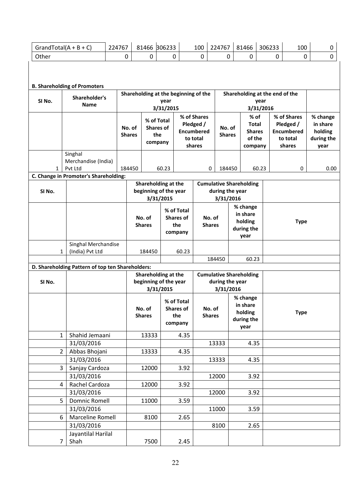|                                     |                                                  | 224767 |               | 81466 306233                                       |           |                                | 100                           | 224767                                            |  | 81466                          | 306233    |   | 100                           | 0                     |
|-------------------------------------|--------------------------------------------------|--------|---------------|----------------------------------------------------|-----------|--------------------------------|-------------------------------|---------------------------------------------------|--|--------------------------------|-----------|---|-------------------------------|-----------------------|
|                                     | GrandTotal( $A + B + C$ )                        |        |               |                                                    |           |                                |                               |                                                   |  |                                |           |   |                               |                       |
| Other                               |                                                  |        | $\mathbf 0$   | 0                                                  | 0         |                                | $\mathbf 0$                   | 0                                                 |  | $\mathbf 0$                    |           | 0 | $\mathbf 0$                   | $\mathbf 0$           |
| <b>B. Shareholding of Promoters</b> |                                                  |        |               |                                                    |           |                                |                               |                                                   |  |                                |           |   |                               |                       |
|                                     |                                                  |        |               | Shareholding at the beginning of the               |           |                                |                               |                                                   |  | Shareholding at the end of the |           |   |                               |                       |
| SI No.                              | Shareholder's<br>Name                            |        |               |                                                    | year      |                                |                               |                                                   |  |                                | year      |   |                               |                       |
|                                     |                                                  |        |               |                                                    | 3/31/2015 |                                |                               |                                                   |  |                                | 3/31/2016 |   |                               |                       |
|                                     |                                                  |        |               | % of Total                                         |           |                                | % of Shares                   |                                                   |  | % of                           |           |   | % of Shares                   | % change              |
|                                     |                                                  |        | No. of        | <b>Shares of</b>                                   |           |                                | Pledged /                     | No. of                                            |  | <b>Total</b>                   |           |   | Pledged /                     | in share              |
|                                     |                                                  |        | <b>Shares</b> | the                                                |           |                                | <b>Encumbered</b><br>to total | <b>Shares</b>                                     |  | <b>Shares</b><br>of the        |           |   | <b>Encumbered</b><br>to total | holding<br>during the |
|                                     |                                                  |        |               | company                                            |           |                                | shares                        |                                                   |  | company                        |           |   | shares                        | year                  |
|                                     | Singhal                                          |        |               |                                                    |           |                                |                               |                                                   |  |                                |           |   |                               |                       |
|                                     | Merchandise (India)                              |        |               |                                                    |           |                                |                               |                                                   |  |                                |           |   |                               |                       |
| $\mathbf{1}$                        | Pvt Ltd                                          |        | 184450        |                                                    | 60.23     |                                | 0                             | 184450                                            |  |                                | 60.23     |   | 0                             | 0.00                  |
|                                     | C. Change in Promoter's Shareholding:            |        |               |                                                    |           |                                |                               |                                                   |  |                                |           |   |                               |                       |
|                                     |                                                  |        |               | Shareholding at the                                |           |                                |                               | <b>Cumulative Shareholding</b>                    |  |                                |           |   |                               |                       |
| SI <sub>No.</sub>                   |                                                  |        |               | beginning of the year                              |           |                                |                               | during the year                                   |  |                                |           |   |                               |                       |
|                                     |                                                  |        |               |                                                    | 3/31/2015 |                                |                               | 3/31/2016                                         |  |                                |           |   |                               |                       |
|                                     |                                                  |        |               |                                                    |           | % of Total                     |                               |                                                   |  | % change                       |           |   |                               |                       |
|                                     |                                                  |        |               | No. of<br><b>Shares of</b><br><b>Shares</b><br>the |           |                                | in share<br>No. of<br>holding |                                                   |  | <b>Type</b>                    |           |   |                               |                       |
|                                     |                                                  |        |               |                                                    |           |                                |                               | <b>Shares</b>                                     |  | during the                     |           |   |                               |                       |
|                                     |                                                  |        |               |                                                    |           | company                        |                               |                                                   |  | year                           |           |   |                               |                       |
|                                     | Singhal Merchandise                              |        |               |                                                    |           |                                |                               |                                                   |  |                                |           |   |                               |                       |
| 1                                   | (India) Pvt Ltd                                  |        |               | 184450<br>60.23                                    |           |                                |                               |                                                   |  |                                |           |   |                               |                       |
|                                     |                                                  |        |               |                                                    |           |                                | 184450<br>60.23               |                                                   |  |                                |           |   |                               |                       |
|                                     | D. Shareholding Pattern of top ten Shareholders: |        |               |                                                    |           |                                |                               |                                                   |  |                                |           |   |                               |                       |
|                                     |                                                  |        |               | Shareholding at the                                |           |                                |                               | <b>Cumulative Shareholding</b><br>during the year |  |                                |           |   |                               |                       |
| SI No.                              |                                                  |        |               | beginning of the year                              | 3/31/2015 |                                |                               | 3/31/2016                                         |  |                                |           |   |                               |                       |
|                                     |                                                  |        |               |                                                    |           |                                |                               |                                                   |  | % change                       |           |   |                               |                       |
|                                     |                                                  |        |               | No. of                                             |           | % of Total<br><b>Shares of</b> |                               | No. of                                            |  | in share                       |           |   |                               |                       |
|                                     |                                                  |        |               | <b>Shares</b>                                      |           | the                            |                               | <b>Shares</b>                                     |  | holding                        |           |   | <b>Type</b>                   |                       |
|                                     |                                                  |        |               |                                                    |           | company                        |                               |                                                   |  | during the                     |           |   |                               |                       |
|                                     |                                                  |        |               |                                                    |           |                                |                               |                                                   |  | year                           |           |   |                               |                       |
|                                     | Shahid Jemaani<br>1                              |        |               | 13333                                              |           | 4.35                           |                               |                                                   |  |                                |           |   |                               |                       |
|                                     | 31/03/2016                                       |        |               |                                                    |           |                                |                               | 13333                                             |  | 4.35                           |           |   |                               |                       |
|                                     | $2^{\circ}$<br>Abbas Bhojani                     |        |               | 13333                                              |           | 4.35                           |                               |                                                   |  |                                |           |   |                               |                       |
|                                     | 31/03/2016<br>$\overline{3}$<br>Sanjay Cardoza   |        |               | 12000                                              |           | 3.92                           |                               | 13333                                             |  | 4.35                           |           |   |                               |                       |
|                                     | 31/03/2016                                       |        |               |                                                    |           |                                |                               | 12000                                             |  | 3.92                           |           |   |                               |                       |
|                                     | Rachel Cardoza<br>4                              |        |               | 12000                                              |           | 3.92                           |                               |                                                   |  |                                |           |   |                               |                       |
|                                     | 31/03/2016                                       |        |               |                                                    |           |                                |                               | 12000                                             |  | 3.92                           |           |   |                               |                       |
|                                     | 5<br><b>Domnic Romell</b>                        |        |               | 11000                                              |           | 3.59                           |                               |                                                   |  |                                |           |   |                               |                       |
|                                     | 31/03/2016                                       |        |               |                                                    |           |                                |                               | 11000                                             |  | 3.59                           |           |   |                               |                       |
|                                     | Marceline Romell<br>6                            |        |               | 8100                                               |           | 2.65                           |                               |                                                   |  |                                |           |   |                               |                       |
|                                     | 31/03/2016                                       |        |               |                                                    |           |                                |                               | 8100                                              |  | 2.65                           |           |   |                               |                       |
|                                     | Jayantilal Harilal                               |        |               |                                                    |           |                                |                               |                                                   |  |                                |           |   |                               |                       |
| $\overline{7}$                      | Shah                                             |        |               | 7500                                               |           | 2.45                           |                               |                                                   |  |                                |           |   |                               |                       |
|                                     |                                                  |        |               |                                                    |           |                                |                               |                                                   |  |                                |           |   |                               |                       |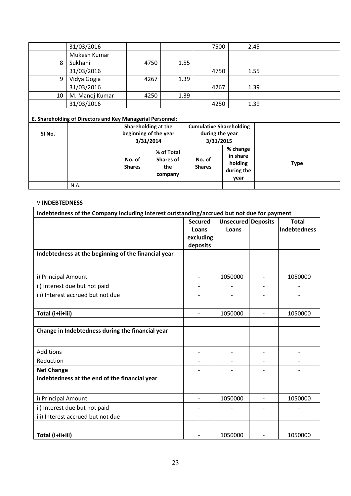|        | 31/03/2016<br>Mukesh Kumar                                 |                       |                  |               | 7500                           | 2.45 |             |
|--------|------------------------------------------------------------|-----------------------|------------------|---------------|--------------------------------|------|-------------|
| 8      | Sukhani                                                    | 4750                  |                  | 1.55          |                                |      |             |
|        | 31/03/2016                                                 |                       |                  |               | 4750                           | 1.55 |             |
| 9      | Vidya Gogia                                                | 4267                  | 1.39             |               |                                |      |             |
|        | 31/03/2016                                                 |                       |                  |               | 4267                           | 1.39 |             |
| 10     | M. Manoj Kumar                                             | 4250                  | 1.39             |               |                                |      |             |
|        | 31/03/2016                                                 |                       |                  |               | 4250                           | 1.39 |             |
|        | E. Shareholding of Directors and Key Managerial Personnel: |                       |                  |               |                                |      |             |
|        |                                                            | Shareholding at the   |                  |               | <b>Cumulative Shareholding</b> |      |             |
| SI No. |                                                            |                       |                  |               |                                |      |             |
|        |                                                            | beginning of the year |                  |               | during the year                |      |             |
|        |                                                            | 3/31/2014             |                  |               | 3/31/2015                      |      |             |
|        |                                                            |                       | % of Total       |               | % change                       |      |             |
|        |                                                            | No. of                | <b>Shares of</b> | No. of        | in share                       |      |             |
|        |                                                            | <b>Shares</b>         | the<br>company   | <b>Shares</b> | holding<br>during the          |      | <b>Type</b> |

**year** 

#### V **INDEBTEDNESS**

N.A.

| Indebtedness of the Company including interest outstanding/accrued but not due for payment |                          |                    |                          |                     |
|--------------------------------------------------------------------------------------------|--------------------------|--------------------|--------------------------|---------------------|
|                                                                                            | <b>Secured</b>           | Unsecured Deposits |                          | <b>Total</b>        |
|                                                                                            | Loans                    | Loans              |                          | <b>Indebtedness</b> |
|                                                                                            | excluding                |                    |                          |                     |
|                                                                                            | deposits                 |                    |                          |                     |
| Indebtedness at the beginning of the financial year                                        |                          |                    |                          |                     |
|                                                                                            |                          |                    |                          |                     |
| i) Principal Amount                                                                        | $\overline{\phantom{0}}$ | 1050000            | $\overline{\phantom{0}}$ | 1050000             |
| ii) Interest due but not paid                                                              |                          |                    |                          |                     |
| iii) Interest accrued but not due                                                          |                          |                    |                          |                     |
|                                                                                            |                          |                    |                          |                     |
| Total (i+ii+iii)                                                                           |                          | 1050000            | $\overline{a}$           | 1050000             |
|                                                                                            |                          |                    |                          |                     |
| Change in Indebtedness during the financial year                                           |                          |                    |                          |                     |
|                                                                                            |                          |                    |                          |                     |
| Additions                                                                                  |                          |                    |                          |                     |
| Reduction                                                                                  |                          |                    |                          |                     |
| <b>Net Change</b>                                                                          |                          |                    |                          |                     |
| Indebtedness at the end of the financial year                                              |                          |                    |                          |                     |
| i) Principal Amount                                                                        | $\overline{\phantom{0}}$ | 1050000            |                          | 1050000             |
|                                                                                            |                          |                    |                          |                     |
| ii) Interest due but not paid                                                              |                          |                    |                          |                     |
| iii) Interest accrued but not due                                                          |                          |                    |                          |                     |
|                                                                                            |                          |                    |                          |                     |
| Total (i+ii+iii)                                                                           |                          | 1050000            | $\overline{\phantom{0}}$ | 1050000             |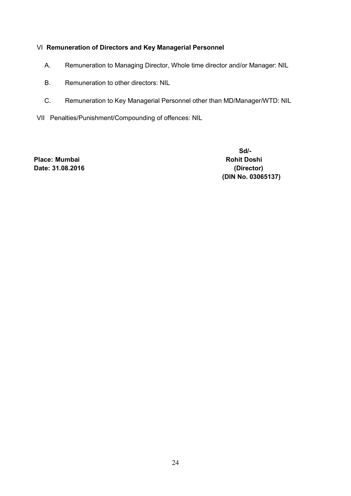# VI **Remuneration of Directors and Key Managerial Personnel**

- A. Remuneration to Managing Director, Whole time director and/or Manager: NIL
- B. Remuneration to other directors: NIL
- C. Remuneration to Key Managerial Personnel other than MD/Manager/WTD: NIL
- VII Penalties/Punishment/Compounding of offences: NIL

Place: Mumbai **Rohit Doshi Rohit Doshi Rohit Doshi Date: 31.08.2016 (Director)** 

 **Sd/- (DIN No. 03065137)**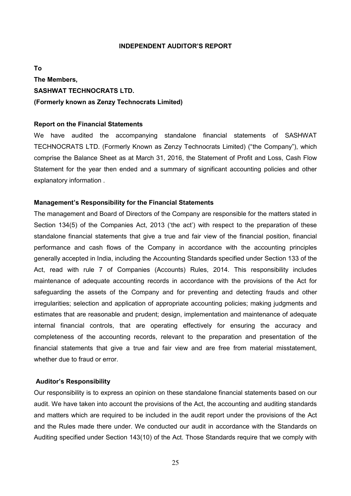#### **INDEPENDENT AUDITOR'S REPORT**

**To The Members, SASHWAT TECHNOCRATS LTD. (Formerly known as Zenzy Technocrats Limited)** 

#### **Report on the Financial Statements**

We have audited the accompanying standalone financial statements of SASHWAT TECHNOCRATS LTD. (Formerly Known as Zenzy Technocrats Limited) ("the Company"), which comprise the Balance Sheet as at March 31, 2016, the Statement of Profit and Loss, Cash Flow Statement for the year then ended and a summary of significant accounting policies and other explanatory information .

#### **Management's Responsibility for the Financial Statements**

The management and Board of Directors of the Company are responsible for the matters stated in Section 134(5) of the Companies Act, 2013 ('the act') with respect to the preparation of these standalone financial statements that give a true and fair view of the financial position, financial performance and cash flows of the Company in accordance with the accounting principles generally accepted in India, including the Accounting Standards specified under Section 133 of the Act, read with rule 7 of Companies (Accounts) Rules, 2014. This responsibility includes maintenance of adequate accounting records in accordance with the provisions of the Act for safeguarding the assets of the Company and for preventing and detecting frauds and other irregularities; selection and application of appropriate accounting policies; making judgments and estimates that are reasonable and prudent; design, implementation and maintenance of adequate internal financial controls, that are operating effectively for ensuring the accuracy and completeness of the accounting records, relevant to the preparation and presentation of the financial statements that give a true and fair view and are free from material misstatement, whether due to fraud or error.

#### **Auditor's Responsibility**

Our responsibility is to express an opinion on these standalone financial statements based on our audit. We have taken into account the provisions of the Act, the accounting and auditing standards and matters which are required to be included in the audit report under the provisions of the Act and the Rules made there under. We conducted our audit in accordance with the Standards on Auditing specified under Section 143(10) of the Act. Those Standards require that we comply with

25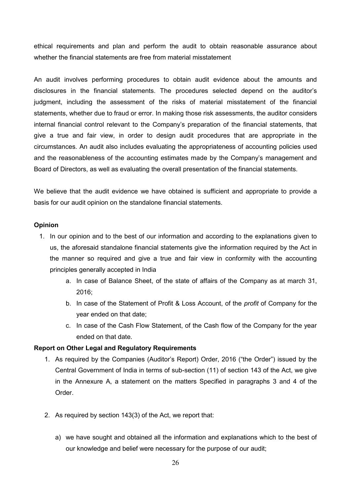ethical requirements and plan and perform the audit to obtain reasonable assurance about whether the financial statements are free from material misstatement

An audit involves performing procedures to obtain audit evidence about the amounts and disclosures in the financial statements. The procedures selected depend on the auditor's judgment, including the assessment of the risks of material misstatement of the financial statements, whether due to fraud or error. In making those risk assessments, the auditor considers internal financial control relevant to the Company's preparation of the financial statements, that give a true and fair view, in order to design audit procedures that are appropriate in the circumstances. An audit also includes evaluating the appropriateness of accounting policies used and the reasonableness of the accounting estimates made by the Company's management and Board of Directors, as well as evaluating the overall presentation of the financial statements.

We believe that the audit evidence we have obtained is sufficient and appropriate to provide a basis for our audit opinion on the standalone financial statements.

#### **Opinion**

- 1. In our opinion and to the best of our information and according to the explanations given to us, the aforesaid standalone financial statements give the information required by the Act in the manner so required and give a true and fair view in conformity with the accounting principles generally accepted in India
	- a. In case of Balance Sheet, of the state of affairs of the Company as at march 31, 2016;
	- b. In case of the Statement of Profit & Loss Account, of the *profit* of Company for the year ended on that date;
	- c. In case of the Cash Flow Statement, of the Cash flow of the Company for the year ended on that date.

#### **Report on Other Legal and Regulatory Requirements**

- 1. As required by the Companies (Auditor's Report) Order, 2016 ("the Order") issued by the Central Government of India in terms of sub-section (11) of section 143 of the Act, we give in the Annexure A, a statement on the matters Specified in paragraphs 3 and 4 of the Order.
- 2. As required by section 143(3) of the Act, we report that:
	- a) we have sought and obtained all the information and explanations which to the best of our knowledge and belief were necessary for the purpose of our audit;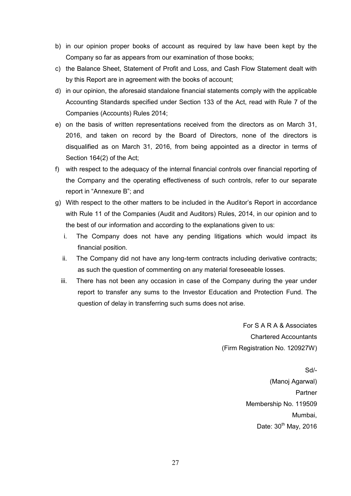- b) in our opinion proper books of account as required by law have been kept by the Company so far as appears from our examination of those books;
- c) the Balance Sheet, Statement of Profit and Loss, and Cash Flow Statement dealt with by this Report are in agreement with the books of account;
- d) in our opinion, the aforesaid standalone financial statements comply with the applicable Accounting Standards specified under Section 133 of the Act, read with Rule 7 of the Companies (Accounts) Rules 2014;
- e) on the basis of written representations received from the directors as on March 31, 2016, and taken on record by the Board of Directors, none of the directors is disqualified as on March 31, 2016, from being appointed as a director in terms of Section 164(2) of the Act;
- f) with respect to the adequacy of the internal financial controls over financial reporting of the Company and the operating effectiveness of such controls, refer to our separate report in "Annexure B"; and
- g) With respect to the other matters to be included in the Auditor's Report in accordance with Rule 11 of the Companies (Audit and Auditors) Rules, 2014, in our opinion and to the best of our information and according to the explanations given to us:
	- i. The Company does not have any pending litigations which would impact its financial position.
	- ii. The Company did not have any long-term contracts including derivative contracts; as such the question of commenting on any material foreseeable losses.
	- iii. There has not been any occasion in case of the Company during the year under report to transfer any sums to the Investor Education and Protection Fund. The question of delay in transferring such sums does not arise.

For S A R A & Associates Chartered Accountants (Firm Registration No. 120927W)

> Sd/- (Manoj Agarwal) **Partner** Membership No. 119509 Mumbai, Date:  $30<sup>th</sup>$  May, 2016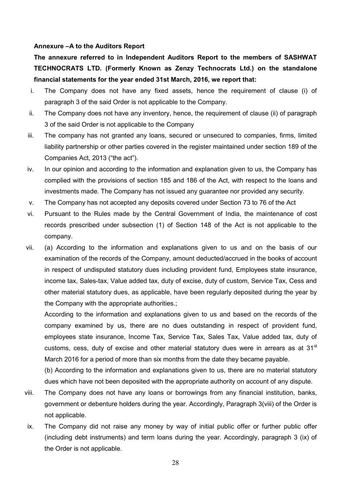#### **Annexure –A to the Auditors Report**

**The annexure referred to in Independent Auditors Report to the members of SASHWAT TECHNOCRATS LTD. (Formerly Known as Zenzy Technocrats Ltd.) on the standalone financial statements for the year ended 31st March, 2016, we report that:** 

- i. The Company does not have any fixed assets, hence the requirement of clause (i) of paragraph 3 of the said Order is not applicable to the Company.
- ii. The Company does not have any inventory, hence, the requirement of clause (ii) of paragraph 3 of the said Order is not applicable to the Company
- iii. The company has not granted any loans, secured or unsecured to companies, firms, limited liability partnership or other parties covered in the register maintained under section 189 of the Companies Act, 2013 ("the act").
- iv. In our opinion and according to the information and explanation given to us, the Company has complied with the provisions of section 185 and 186 of the Act, with respect to the loans and investments made. The Company has not issued any guarantee nor provided any security.
- v. The Company has not accepted any deposits covered under Section 73 to 76 of the Act
- vi. Pursuant to the Rules made by the Central Government of India, the maintenance of cost records prescribed under subsection (1) of Section 148 of the Act is not applicable to the company.
- vii. (a) According to the information and explanations given to us and on the basis of our examination of the records of the Company, amount deducted/accrued in the books of account in respect of undisputed statutory dues including provident fund, Employees state insurance, income tax, Sales-tax, Value added tax, duty of excise, duty of custom, Service Tax, Cess and other material statutory dues, as applicable, have been regularly deposited during the year by the Company with the appropriate authorities.;

According to the information and explanations given to us and based on the records of the company examined by us, there are no dues outstanding in respect of provident fund, employees state insurance, Income Tax, Service Tax, Sales Tax, Value added tax, duty of customs, cess, duty of excise and other material statutory dues were in arrears as at  $31<sup>st</sup>$ March 2016 for a period of more than six months from the date they became payable.

(b) According to the information and explanations given to us, there are no material statutory dues which have not been deposited with the appropriate authority on account of any dispute.

- viii. The Company does not have any loans or borrowings from any financial institution, banks, government or debenture holders during the year. Accordingly, Paragraph 3(viii) of the Order is not applicable.
- ix. The Company did not raise any money by way of initial public offer or further public offer (including debt instruments) and term loans during the year. Accordingly, paragraph 3 (ix) of the Order is not applicable.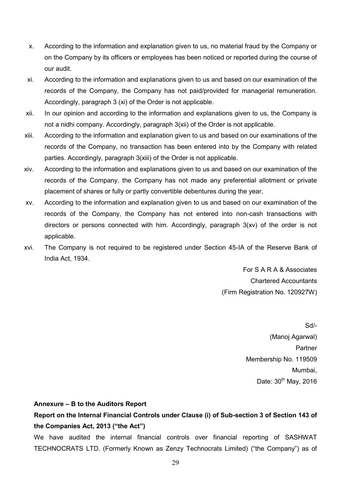- x. According to the information and explanation given to us, no material fraud by the Company or on the Company by its officers or employees has been noticed or reported during the course of our audit.
- xi. According to the information and explanations given to us and based on our examination of the records of the Company, the Company has not paid/provided for managerial remuneration. Accordingly, paragraph 3 (xi) of the Order is not applicable.
- xii. In our opinion and according to the information and explanations given to us, the Company is not a nidhi company. Accordingly, paragraph 3(xii) of the Order is not applicable.
- xiii. According to the information and explanation given to us and based on our examinations of the records of the Company, no transaction has been entered into by the Company with related parties. Accordingly, paragraph 3(xiii) of the Order is not applicable.
- xiv. According to the information and explanations given to us and based on our examination of the records of the Company, the Company has not made any preferential allotment or private placement of shares or fully or partly convertible debentures during the year,
- xv. According to the information and explanation given to us and based on our examination of the records of the Company, the Company has not entered into non-cash transactions with directors or persons connected with him. Accordingly, paragraph 3(xv) of the order is not applicable.
- xvi. The Company is not required to be registered under Section 45-IA of the Reserve Bank of India Act, 1934.

For S A R A & Associates Chartered Accountants (Firm Registration No. 120927W)

> Sd/- (Manoj Agarwal) **Partner** Membership No. 119509 Mumbai, Date:  $30<sup>th</sup>$  May, 2016

#### **Annexure – B to the Auditors Report**

# **Report on the Internal Financial Controls under Clause (i) of Sub-section 3 of Section 143 of the Companies Act, 2013 ("the Act")**

We have audited the internal financial controls over financial reporting of SASHWAT TECHNOCRATS LTD. (Formerly Known as Zenzy Technocrats Limited) ("the Company") as of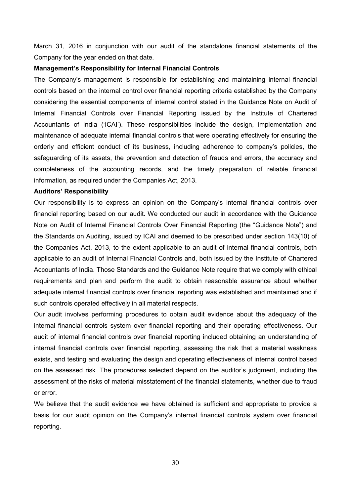March 31, 2016 in conjunction with our audit of the standalone financial statements of the Company for the year ended on that date.

#### **Management's Responsibility for Internal Financial Controls**

The Company's management is responsible for establishing and maintaining internal financial controls based on the internal control over financial reporting criteria established by the Company considering the essential components of internal control stated in the Guidance Note on Audit of Internal Financial Controls over Financial Reporting issued by the Institute of Chartered Accountants of India ('ICAI'). These responsibilities include the design, implementation and maintenance of adequate internal financial controls that were operating effectively for ensuring the orderly and efficient conduct of its business, including adherence to company's policies, the safeguarding of its assets, the prevention and detection of frauds and errors, the accuracy and completeness of the accounting records, and the timely preparation of reliable financial information, as required under the Companies Act, 2013.

#### **Auditors' Responsibility**

Our responsibility is to express an opinion on the Company's internal financial controls over financial reporting based on our audit. We conducted our audit in accordance with the Guidance Note on Audit of Internal Financial Controls Over Financial Reporting (the "Guidance Note") and the Standards on Auditing, issued by ICAI and deemed to be prescribed under section 143(10) of the Companies Act, 2013, to the extent applicable to an audit of internal financial controls, both applicable to an audit of Internal Financial Controls and, both issued by the Institute of Chartered Accountants of India. Those Standards and the Guidance Note require that we comply with ethical requirements and plan and perform the audit to obtain reasonable assurance about whether adequate internal financial controls over financial reporting was established and maintained and if such controls operated effectively in all material respects.

Our audit involves performing procedures to obtain audit evidence about the adequacy of the internal financial controls system over financial reporting and their operating effectiveness. Our audit of internal financial controls over financial reporting included obtaining an understanding of internal financial controls over financial reporting, assessing the risk that a material weakness exists, and testing and evaluating the design and operating effectiveness of internal control based on the assessed risk. The procedures selected depend on the auditor's judgment, including the assessment of the risks of material misstatement of the financial statements, whether due to fraud or error.

We believe that the audit evidence we have obtained is sufficient and appropriate to provide a basis for our audit opinion on the Company's internal financial controls system over financial reporting.

30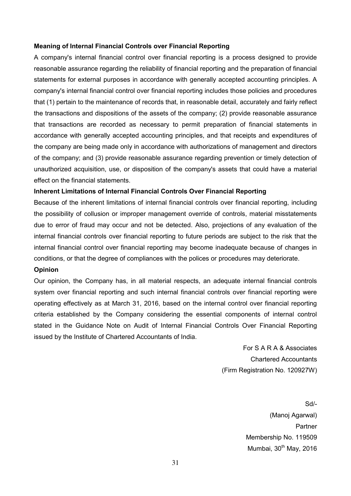#### **Meaning of Internal Financial Controls over Financial Reporting**

A company's internal financial control over financial reporting is a process designed to provide reasonable assurance regarding the reliability of financial reporting and the preparation of financial statements for external purposes in accordance with generally accepted accounting principles. A company's internal financial control over financial reporting includes those policies and procedures that (1) pertain to the maintenance of records that, in reasonable detail, accurately and fairly reflect the transactions and dispositions of the assets of the company; (2) provide reasonable assurance that transactions are recorded as necessary to permit preparation of financial statements in accordance with generally accepted accounting principles, and that receipts and expenditures of the company are being made only in accordance with authorizations of management and directors of the company; and (3) provide reasonable assurance regarding prevention or timely detection of unauthorized acquisition, use, or disposition of the company's assets that could have a material effect on the financial statements.

#### **Inherent Limitations of Internal Financial Controls Over Financial Reporting**

Because of the inherent limitations of internal financial controls over financial reporting, including the possibility of collusion or improper management override of controls, material misstatements due to error of fraud may occur and not be detected. Also, projections of any evaluation of the internal financial controls over financial reporting to future periods are subject to the risk that the internal financial control over financial reporting may become inadequate because of changes in conditions, or that the degree of compliances with the polices or procedures may deteriorate.

# **Opinion**

Our opinion, the Company has, in all material respects, an adequate internal financial controls system over financial reporting and such internal financial controls over financial reporting were operating effectively as at March 31, 2016, based on the internal control over financial reporting criteria established by the Company considering the essential components of internal control stated in the Guidance Note on Audit of Internal Financial Controls Over Financial Reporting issued by the Institute of Chartered Accountants of India.

> For S A R A & Associates Chartered Accountants (Firm Registration No. 120927W)

> > Sd/- (Manoj Agarwal) **Partner** Membership No. 119509 Mumbai,  $30<sup>th</sup>$  May, 2016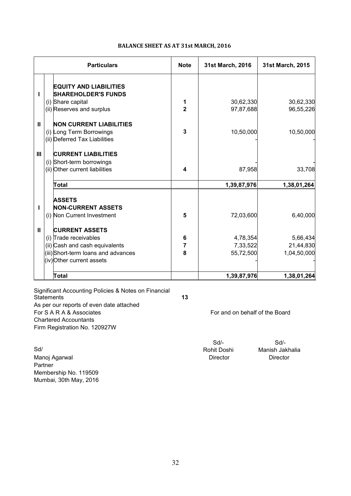| <b>BALANCE SHEET AS AT 31st MARCH, 2016</b> |  |  |
|---------------------------------------------|--|--|
|---------------------------------------------|--|--|

| <b>Particulars</b> |  |                                     | <b>Note</b>    | 31st March, 2016 | 31st March, 2015 |
|--------------------|--|-------------------------------------|----------------|------------------|------------------|
|                    |  | <b>EQUITY AND LIABILITIES</b>       |                |                  |                  |
| т                  |  | <b>SHAREHOLDER'S FUNDS</b>          |                |                  |                  |
|                    |  | (i) Share capital                   | 1              | 30,62,330        | 30,62,330        |
|                    |  | (ii) Reserves and surplus           | $\overline{2}$ | 97,87,688        | 96,55,226        |
| $\mathbf{II}$      |  | <b>NON CURRENT LIABILITIES</b>      |                |                  |                  |
|                    |  | (i) Long Term Borrowings            | 3              | 10,50,000        | 10,50,000        |
|                    |  | (ii) Deferred Tax Liabilities       |                |                  |                  |
| $\mathbf{III}$     |  | <b>CURRENT LIABILITIES</b>          |                |                  |                  |
|                    |  | (i) Short-term borrowings           |                |                  |                  |
|                    |  | (ii) Other current liabilities      | 4              | 87,958           | 33,708           |
|                    |  | Total                               |                | 1,39,87,976      | 1,38,01,264      |
|                    |  | <b>ASSETS</b>                       |                |                  |                  |
| т                  |  | <b>NON-CURRENT ASSETS</b>           |                |                  |                  |
|                    |  | (i) Non Current Investment          | 5              | 72,03,600        | 6,40,000         |
| $\mathbf{II}$      |  | <b>CURRENT ASSETS</b>               |                |                  |                  |
|                    |  | (i) Trade receivables               | 6              | 4,78,354         | 5,66,434         |
|                    |  | (ii) Cash and cash equivalents      | 7              | 7,33,522         | 21,44,830        |
|                    |  | (iii) Short-term loans and advances | 8              | 55,72,500        | 1,04,50,000      |
|                    |  | (iv) Other current assets           |                |                  |                  |
|                    |  | <b>Total</b>                        |                | 1,39,87,976      | 1,38,01,264      |

Significant Accounting Policies & Notes on Financial Statements **13** As per our reports of even date attached<br>For S A R A & Associates Chartered Accountants Firm Registration No. 120927W

Sd/ Manoj Agarwal **Manois Agazi Agazi Agazi Agazi Agazi Agazi Agazi Agazi Agazi Agazi Agazi Agazi Agazi Agazi Agazi** Partner Membership No. 119509 Mumbai, 30th May, 2016

For and on behalf of the Board

Sd/-<br>Rohit Doshi Manish Jak

Manish Jakhalia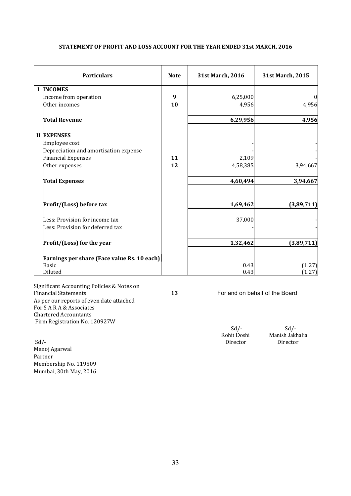| <b>Particulars</b>                          | <b>Note</b> | 31st March, 2016 | 31st March, 2015 |
|---------------------------------------------|-------------|------------------|------------------|
| <b>I INCOMES</b>                            |             |                  |                  |
| Income from operation                       | 9           | 6,25,000         | $\theta$         |
| Other incomes                               | 10          | 4,956            | 4,956            |
| <b>Total Revenue</b>                        |             | 6,29,956         | 4,956            |
| <b>II EXPENSES</b>                          |             |                  |                  |
| Employee cost                               |             |                  |                  |
| Depreciation and amortisation expense       |             |                  |                  |
| <b>Financial Expenses</b>                   | 11          | 2,109            |                  |
| Other expenses                              | 12          | 4,58,385         | 3,94,667         |
| <b>Total Expenses</b>                       |             | 4,60,494         | 3,94,667         |
| Profit/(Loss) before tax                    |             | 1,69,462         | (3,89,711)       |
| Less: Provision for income tax              |             | 37,000           |                  |
| Less: Provision for deferred tax            |             |                  |                  |
| Profit/(Loss) for the year                  |             | 1,32,462         | (3,89,711)       |
| Earnings per share (Face value Rs. 10 each) |             |                  |                  |
| <b>Basic</b>                                |             | 0.43             | (1.27)           |
| Diluted                                     |             | 0.43             | (1.27)           |

#### **STATEMENT OF PROFIT AND LOSS ACCOUNT FOR THE YEAR ENDED 31st MARCH, 2016**

Significant Accounting Policies & Notes on As per our reports of even date attached For S A R A & Associates Chartered Accountants Firm Registration No. 120927W

Sd/- Director Director Director Director Director Director Director Director Director Director Director Director Director Director  $\sim$  Director Director Director Director Director Director Director Director Director Direc Manoj Agarwal Partner Membership No. 119509 Mumbai, 30th May, 2016

13 For and on behalf of the Board

 $Sd$ - $Sd$ -

Rohit Doshi Manish Jakhalia<br>Sd/- Director Director Director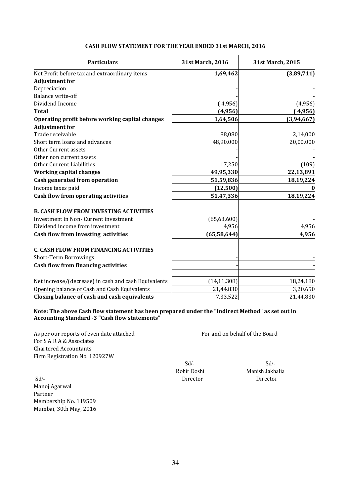#### **CASH FLOW STATEMENT FOR THE YEAR ENDED 31st MARCH, 2016**

| <b>Particulars</b>                                   | 31st March, 2016 | 31st March, 2015 |
|------------------------------------------------------|------------------|------------------|
| Net Profit before tax and extraordinary items        | 1,69,462         | (3,89,711)       |
| <b>Adjustment for</b>                                |                  |                  |
| Depreciation                                         |                  |                  |
| <b>Balance write-off</b>                             |                  |                  |
| Dividend Income                                      | (4,956)          | (4,956)          |
| <b>Total</b>                                         | (4,956)          | (4,956)          |
| Operating profit before working capital changes      | 1,64,506         | (3, 94, 667)     |
| <b>Adjustment for</b>                                |                  |                  |
| Trade receivable                                     | 88,080           | 2,14,000         |
| Short term loans and advances                        | 48,90,000        | 20,00,000        |
| Other Current assets                                 |                  |                  |
| Other non current assets                             |                  |                  |
| Other Current Liabilities                            | 17,250           | (109)            |
| <b>Working capital changes</b>                       | 49,95,330        | 22,13,891        |
| Cash generated from operation                        | 51,59,836        | 18,19,224        |
| Income taxes paid                                    | (12,500)         |                  |
| Cash flow from operating activities                  | 51,47,336        | 18,19,224        |
| <b>B. CASH FLOW FROM INVESTING ACTIVITIES</b>        |                  |                  |
| Investment in Non- Current investment                | (65, 63, 600)    |                  |
| Dividend income from investment                      | 4,956            | 4,956            |
| Cash flow from investing activities                  | (65, 58, 644)    | 4,956            |
| <b>C. CASH FLOW FROM FINANCING ACTIVITIES</b>        |                  |                  |
| Short-Term Borrowings                                |                  |                  |
| Cash flow from financing activities                  |                  |                  |
| Net increase/(decrease) in cash and cash Equivalents | (14, 11, 308)    | 18,24,180        |
| Opening balance of Cash and Cash Equivalents         | 21,44,830        | 3,20,650         |
| Closing balance of cash and cash equivalents         | 7,33,522         | 21,44,830        |

#### **Note: The above Cash flow statement has been prepared under the "Indirect Method" as set out in Accounting Standard -3 "Cash flow statements"**

As per our reports of even date attached For and on behalf of the Board For S A R A & Associates Chartered Accountants Firm Registration No. 120927W

Sd<sup>/-</sup> Director Director Director Director Director Manoj Agarwal Partner Membership No. 119509 Mumbai, 30th May, 2016

 $Sd$ - $Sd$ -

Rohit Doshi Manish Jakhalia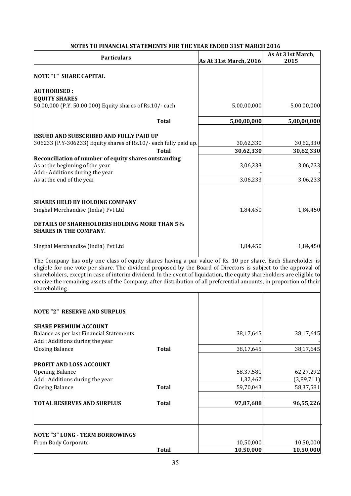| NUTES TO FINANCIAE STATEMENTS FON THE TEAN ENDED STST MANCH 2010<br><b>Particulars</b>                                                                                                                                                                                                                                                                                                                                                                                                          |              | As At 31st March, 2016 | As At 31st March,<br>2015 |
|-------------------------------------------------------------------------------------------------------------------------------------------------------------------------------------------------------------------------------------------------------------------------------------------------------------------------------------------------------------------------------------------------------------------------------------------------------------------------------------------------|--------------|------------------------|---------------------------|
| <b>NOTE "1" SHARE CAPITAL</b>                                                                                                                                                                                                                                                                                                                                                                                                                                                                   |              |                        |                           |
| <b>AUTHORISED:</b>                                                                                                                                                                                                                                                                                                                                                                                                                                                                              |              |                        |                           |
| <b>EQUITY SHARES</b><br>50,00,000 (P.Y. 50,00,000) Equity shares of Rs.10/- each.                                                                                                                                                                                                                                                                                                                                                                                                               |              | 5,00,00,000            | 5,00,00,000               |
|                                                                                                                                                                                                                                                                                                                                                                                                                                                                                                 |              |                        |                           |
|                                                                                                                                                                                                                                                                                                                                                                                                                                                                                                 | <b>Total</b> | 5,00,00,000            | 5,00,00,000               |
| <b>ISSUED AND SUBSCRIBED AND FULLY PAID UP</b>                                                                                                                                                                                                                                                                                                                                                                                                                                                  |              |                        |                           |
| 306233 (P.Y-306233) Equity shares of Rs.10/- each fully paid up.                                                                                                                                                                                                                                                                                                                                                                                                                                |              | 30,62,330              | 30,62,330                 |
|                                                                                                                                                                                                                                                                                                                                                                                                                                                                                                 | <b>Total</b> | 30,62,330              | 30,62,330                 |
| Reconciliation of number of equity shares outstanding<br>As at the beginning of the year                                                                                                                                                                                                                                                                                                                                                                                                        |              | 3,06,233               | 3,06,233                  |
| Add:- Additions during the year                                                                                                                                                                                                                                                                                                                                                                                                                                                                 |              |                        |                           |
| As at the end of the year                                                                                                                                                                                                                                                                                                                                                                                                                                                                       |              | 3,06,233               | 3,06,233                  |
|                                                                                                                                                                                                                                                                                                                                                                                                                                                                                                 |              |                        |                           |
| <b>SHARES HELD BY HOLDING COMPANY</b><br>Singhal Merchandise (India) Pvt Ltd                                                                                                                                                                                                                                                                                                                                                                                                                    |              | 1,84,450               | 1,84,450                  |
|                                                                                                                                                                                                                                                                                                                                                                                                                                                                                                 |              |                        |                           |
| <b>DETAILS OF SHAREHOLDERS HOLDING MORE THAN 5%</b><br><b>SHARES IN THE COMPANY.</b>                                                                                                                                                                                                                                                                                                                                                                                                            |              |                        |                           |
| Singhal Merchandise (India) Pvt Ltd                                                                                                                                                                                                                                                                                                                                                                                                                                                             |              | 1,84,450               | 1,84,450                  |
| The Company has only one class of equity shares having a par value of Rs. 10 per share. Each Shareholder is<br>eligible for one vote per share. The dividend proposed by the Board of Directors is subject to the approval of<br>shareholders, except in case of interim dividend. In the event of liquidation, the equity shareholders are eligible to<br>receive the remaining assets of the Company, after distribution of all preferential amounts, in proportion of their<br>shareholding. |              |                        |                           |
| <b>NOTE "2" RESERVE AND SURPLUS</b>                                                                                                                                                                                                                                                                                                                                                                                                                                                             |              |                        |                           |
| <b>SHARE PREMIUM ACCOUNT</b>                                                                                                                                                                                                                                                                                                                                                                                                                                                                    |              |                        |                           |
| Balance as per last Financial Statements                                                                                                                                                                                                                                                                                                                                                                                                                                                        |              | 38,17,645              | 38,17,645                 |
| Add: Additions during the year                                                                                                                                                                                                                                                                                                                                                                                                                                                                  | <b>Total</b> | 38,17,645              |                           |
| <b>Closing Balance</b>                                                                                                                                                                                                                                                                                                                                                                                                                                                                          |              |                        | 38,17,645                 |
| <b>PROFIT AND LOSS ACCOUNT</b>                                                                                                                                                                                                                                                                                                                                                                                                                                                                  |              |                        |                           |
| Opening Balance                                                                                                                                                                                                                                                                                                                                                                                                                                                                                 |              | 58,37,581              | 62,27,292                 |
| Add: Additions during the year                                                                                                                                                                                                                                                                                                                                                                                                                                                                  |              | 1,32,462               | (3,89,711)                |
| <b>Closing Balance</b>                                                                                                                                                                                                                                                                                                                                                                                                                                                                          | <b>Total</b> | 59,70,043              | 58,37,581                 |
| <b>TOTAL RESERVES AND SURPLUS</b>                                                                                                                                                                                                                                                                                                                                                                                                                                                               | <b>Total</b> | 97,87,688              | 96,55,226                 |
|                                                                                                                                                                                                                                                                                                                                                                                                                                                                                                 |              |                        |                           |
| NOTE "3" LONG - TERM BORROWINGS                                                                                                                                                                                                                                                                                                                                                                                                                                                                 |              |                        |                           |
| From Body Corporate                                                                                                                                                                                                                                                                                                                                                                                                                                                                             |              | 10,50,000              | 10,50,000                 |
|                                                                                                                                                                                                                                                                                                                                                                                                                                                                                                 | <b>Total</b> | 10,50,000              | 10,50,000                 |

# **NOTES TO FINANCIAL STATEMENTS FOR THE YEAR ENDED 31ST MARCH 2016**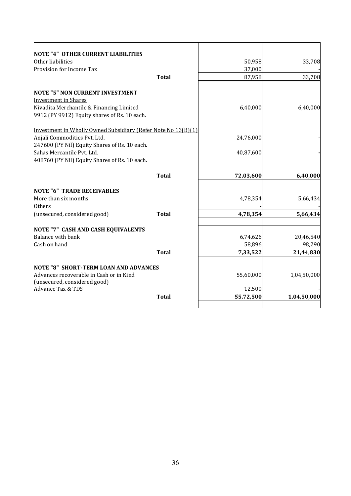| <b>NOTE "4" OTHER CURRENT LIABILITIES</b>                     |              |           |             |
|---------------------------------------------------------------|--------------|-----------|-------------|
| Other liabilities                                             |              | 50,958    | 33,708      |
| Provision for Income Tax                                      |              | 37,000    |             |
|                                                               | <b>Total</b> | 87,958    | 33,708      |
| <b>NOTE "5" NON CURRENT INVESTMENT</b>                        |              |           |             |
| <b>Investment in Shares</b>                                   |              |           |             |
| Nivadita Merchantile & Financing Limited                      |              | 6,40,000  | 6,40,000    |
| 9912 (PY 9912) Equity shares of Rs. 10 each.                  |              |           |             |
| Investment in Wholly Owned Subsidiary (Refer Note No 13(B)(1) |              |           |             |
| Anjali Commodities Pvt. Ltd.                                  |              | 24,76,000 |             |
| 247600 (PY Nil) Equity Shares of Rs. 10 each.                 |              |           |             |
| Sahas Mercantile Pvt. Ltd.                                    |              | 40,87,600 |             |
| 408760 (PY Nil) Equity Shares of Rs. 10 each.                 |              |           |             |
|                                                               | <b>Total</b> | 72,03,600 | 6,40,000    |
|                                                               |              |           |             |
| <b>NOTE "6" TRADE RECEIVABLES</b>                             |              |           |             |
| More than six months<br><b>Others</b>                         |              | 4,78,354  | 5,66,434    |
| (unsecured, considered good)                                  | <b>Total</b> | 4,78,354  | 5,66,434    |
|                                                               |              |           |             |
| <b>NOTE "7" CASH AND CASH EQUIVALENTS</b>                     |              |           |             |
| <b>Balance with bank</b>                                      |              | 6,74,626  | 20,46,540   |
| Cash on hand                                                  |              | 58,896    | 98,290      |
|                                                               | <b>Total</b> | 7,33,522  | 21,44,830   |
| NOTE "8" SHORT-TERM LOAN AND ADVANCES                         |              |           |             |
| Advances recoverable in Cash or in Kind                       |              | 55,60,000 | 1,04,50,000 |
| (unsecured, considered good)                                  |              |           |             |
| <b>Advance Tax &amp; TDS</b>                                  |              | 12,500    |             |
|                                                               | <b>Total</b> | 55,72,500 | 1,04,50,000 |
|                                                               |              |           |             |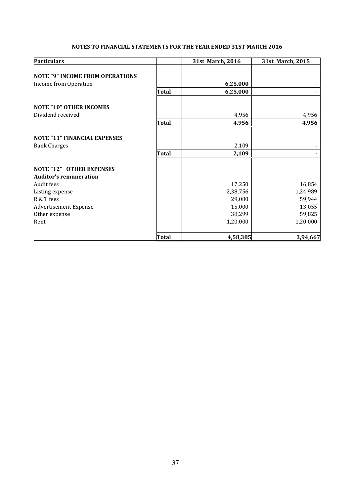#### **NOTES TO FINANCIAL STATEMENTS FOR THE YEAR ENDED 31ST MARCH 2016**

| <b>Particulars</b>                     |              | 31st March, 2016 | 31st March, 2015 |
|----------------------------------------|--------------|------------------|------------------|
|                                        |              |                  |                  |
| <b>NOTE "9" INCOME FROM OPERATIONS</b> |              |                  |                  |
| Income from Operation                  |              | 6,25,000         |                  |
|                                        | Total        | 6,25,000         |                  |
| <b>NOTE "10" OTHER INCOMES</b>         |              |                  |                  |
| Dividend received                      |              | 4,956            | 4,956            |
|                                        | <b>Total</b> | 4,956            | 4,956            |
| <b>NOTE "11" FINANCIAL EXPENSES</b>    |              |                  |                  |
| <b>Bank Charges</b>                    |              | 2,109            |                  |
|                                        | <b>Total</b> | 2,109            |                  |
| <b>NOTE "12" OTHER EXPENSES</b>        |              |                  |                  |
| <b>Auditor's remuneration</b>          |              |                  |                  |
| <b>Audit fees</b>                      |              | 17,250           | 16,854           |
| Listing expense                        |              | 2,38,756         | 1,24,989         |
| R & T fees                             |              | 29,080           | 59,944           |
| <b>Advertisement Expense</b>           |              | 15,000           | 13,055           |
| Other expense                          |              | 38,299           | 59,825           |
| Rent                                   |              | 1,20,000         | 1,20,000         |
|                                        | <b>Total</b> | 4,58,385         | 3,94,667         |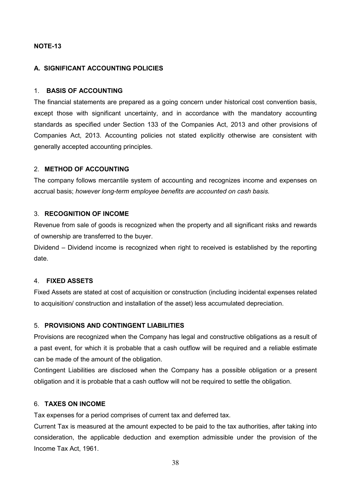# **NOTE-13**

# **A. SIGNIFICANT ACCOUNTING POLICIES**

# 1. **BASIS OF ACCOUNTING**

The financial statements are prepared as a going concern under historical cost convention basis, except those with significant uncertainty, and in accordance with the mandatory accounting standards as specified under Section 133 of the Companies Act, 2013 and other provisions of Companies Act, 2013. Accounting policies not stated explicitly otherwise are consistent with generally accepted accounting principles.

# 2. **METHOD OF ACCOUNTING**

The company follows mercantile system of accounting and recognizes income and expenses on accrual basis; *however long-term employee benefits are accounted on cash basis.* 

# 3. **RECOGNITION OF INCOME**

Revenue from sale of goods is recognized when the property and all significant risks and rewards of ownership are transferred to the buyer.

Dividend – Dividend income is recognized when right to received is established by the reporting date.

# 4. **FIXED ASSETS**

Fixed Assets are stated at cost of acquisition or construction (including incidental expenses related to acquisition/ construction and installation of the asset) less accumulated depreciation.

# 5. **PROVISIONS AND CONTINGENT LIABILITIES**

Provisions are recognized when the Company has legal and constructive obligations as a result of a past event, for which it is probable that a cash outflow will be required and a reliable estimate can be made of the amount of the obligation.

Contingent Liabilities are disclosed when the Company has a possible obligation or a present obligation and it is probable that a cash outflow will not be required to settle the obligation.

#### 6. **TAXES ON INCOME**

Tax expenses for a period comprises of current tax and deferred tax.

Current Tax is measured at the amount expected to be paid to the tax authorities, after taking into consideration, the applicable deduction and exemption admissible under the provision of the Income Tax Act, 1961.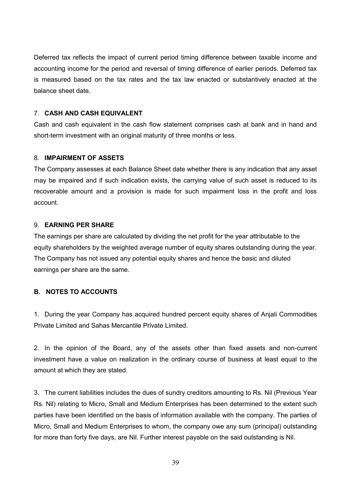Deferred tax reflects the impact of current period timing difference between taxable income and accounting income for the period and reversal of timing difference of earlier periods. Deferred tax is measured based on the tax rates and the tax law enacted or substantively enacted at the balance sheet date.

# 7. **CASH AND CASH EQUIVALENT**

Cash and cash equivalent in the cash flow statement comprises cash at bank and in hand and short-term investment with an original maturity of three months or less.

#### 8. **IMPAIRMENT OF ASSETS**

The Company assesses at each Balance Sheet date whether there is any indication that any asset may be impaired and if such indication exists, the carrying value of such asset is reduced to its recoverable amount and a provision is made for such impairment loss in the profit and loss account.

#### 9. **EARNING PER SHARE**

The earnings per share are calculated by dividing the net profit for the year attributable to the equity shareholders by the weighted average number of equity shares outstanding during the year. The Company has not issued any potential equity shares and hence the basic and diluted earnings per share are the same.

#### **B. NOTES TO ACCOUNTS**

1. During the year Company has acquired hundred percent equity shares of Anjali Commodities Private Limited and Sahas Mercantile Private Limited.

2. In the opinion of the Board, any of the assets other than fixed assets and non-current investment have a value on realization in the ordinary course of business at least equal to the amount at which they are stated.

3. The current liabilities includes the dues of sundry creditors amounting to Rs. Nil (Previous Year Rs. Nil) relating to Micro, Small and Medium Enterprises has been determined to the extent such parties have been identified on the basis of information available with the company. The parties of Micro, Small and Medium Enterprises to whom, the company owe any sum (principal) outstanding for more than forty five days, are Nil. Further interest payable on the said outstanding is Nil.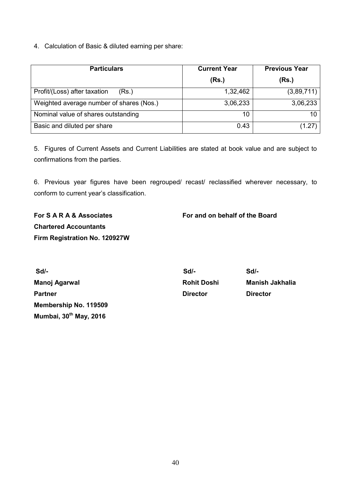4. Calculation of Basic & diluted earning per share:

| <b>Particulars</b>                       | <b>Current Year</b> | <b>Previous Year</b> |  |
|------------------------------------------|---------------------|----------------------|--|
|                                          | (Rs.)               | (Rs.)                |  |
| Profit/(Loss) after taxation<br>(Rs.)    | 1,32,462            | (3,89,711)           |  |
| Weighted average number of shares (Nos.) | 3,06,233            | 3,06,233             |  |
| Nominal value of shares outstanding      | 10                  | 10                   |  |
| Basic and diluted per share              | 0.43                | (1.27)               |  |

5. Figures of Current Assets and Current Liabilities are stated at book value and are subject to confirmations from the parties.

6. Previous year figures have been regrouped/ recast/ reclassified wherever necessary, to conform to current year's classification.

**Chartered Accountants Firm Registration No. 120927W** 

**For S A R A & Associates For and on behalf of the Board** 

 **Sd/- Sd/- Sd/- Manoj Agarwal Manusia Rohit Doshi Manish Jakhalia** Partner **Director** Director **Director** Director **Membership No. 119509 Mumbai, 30th May, 2016**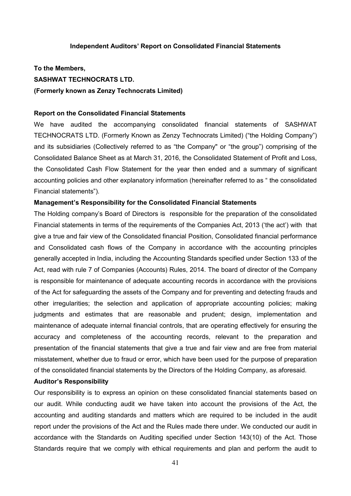#### **Independent Auditors' Report on Consolidated Financial Statements**

**To the Members, SASHWAT TECHNOCRATS LTD. (Formerly known as Zenzy Technocrats Limited)** 

### **Report on the Consolidated Financial Statements**

We have audited the accompanying consolidated financial statements of SASHWAT TECHNOCRATS LTD. (Formerly Known as Zenzy Technocrats Limited) ("the Holding Company") and its subsidiaries (Collectively referred to as "the Company" or "the group") comprising of the Consolidated Balance Sheet as at March 31, 2016, the Consolidated Statement of Profit and Loss, the Consolidated Cash Flow Statement for the year then ended and a summary of significant accounting policies and other explanatory information (hereinafter referred to as " the consolidated Financial statements").

#### **Management's Responsibility for the Consolidated Financial Statements**

The Holding company's Board of Directors is responsible for the preparation of the consolidated Financial statements in terms of the requirements of the Companies Act, 2013 ('the act') with that give a true and fair view of the Consolidated financial Position, Consolidated financial performance and Consolidated cash flows of the Company in accordance with the accounting principles generally accepted in India, including the Accounting Standards specified under Section 133 of the Act, read with rule 7 of Companies (Accounts) Rules, 2014. The board of director of the Company is responsible for maintenance of adequate accounting records in accordance with the provisions of the Act for safeguarding the assets of the Company and for preventing and detecting frauds and other irregularities; the selection and application of appropriate accounting policies; making judgments and estimates that are reasonable and prudent; design, implementation and maintenance of adequate internal financial controls, that are operating effectively for ensuring the accuracy and completeness of the accounting records, relevant to the preparation and presentation of the financial statements that give a true and fair view and are free from material misstatement, whether due to fraud or error, which have been used for the purpose of preparation of the consolidated financial statements by the Directors of the Holding Company, as aforesaid.

#### **Auditor's Responsibility**

Our responsibility is to express an opinion on these consolidated financial statements based on our audit. While conducting audit we have taken into account the provisions of the Act, the accounting and auditing standards and matters which are required to be included in the audit report under the provisions of the Act and the Rules made there under. We conducted our audit in accordance with the Standards on Auditing specified under Section 143(10) of the Act. Those Standards require that we comply with ethical requirements and plan and perform the audit to

41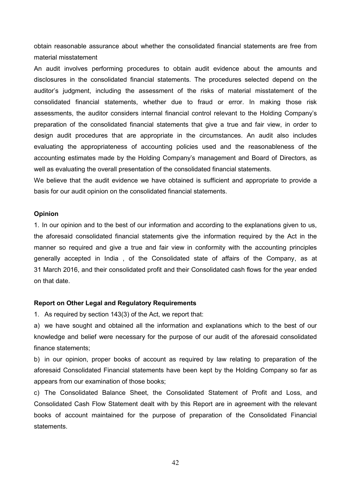obtain reasonable assurance about whether the consolidated financial statements are free from material misstatement

An audit involves performing procedures to obtain audit evidence about the amounts and disclosures in the consolidated financial statements. The procedures selected depend on the auditor's judgment, including the assessment of the risks of material misstatement of the consolidated financial statements, whether due to fraud or error. In making those risk assessments, the auditor considers internal financial control relevant to the Holding Company's preparation of the consolidated financial statements that give a true and fair view, in order to design audit procedures that are appropriate in the circumstances. An audit also includes evaluating the appropriateness of accounting policies used and the reasonableness of the accounting estimates made by the Holding Company's management and Board of Directors, as well as evaluating the overall presentation of the consolidated financial statements.

We believe that the audit evidence we have obtained is sufficient and appropriate to provide a basis for our audit opinion on the consolidated financial statements.

#### **Opinion**

1. In our opinion and to the best of our information and according to the explanations given to us, the aforesaid consolidated financial statements give the information required by the Act in the manner so required and give a true and fair view in conformity with the accounting principles generally accepted in India , of the Consolidated state of affairs of the Company, as at 31 March 2016, and their consolidated profit and their Consolidated cash flows for the year ended on that date.

#### **Report on Other Legal and Regulatory Requirements**

1. As required by section 143(3) of the Act, we report that:

a) we have sought and obtained all the information and explanations which to the best of our knowledge and belief were necessary for the purpose of our audit of the aforesaid consolidated finance statements;

b) in our opinion, proper books of account as required by law relating to preparation of the aforesaid Consolidated Financial statements have been kept by the Holding Company so far as appears from our examination of those books;

c) The Consolidated Balance Sheet, the Consolidated Statement of Profit and Loss, and Consolidated Cash Flow Statement dealt with by this Report are in agreement with the relevant books of account maintained for the purpose of preparation of the Consolidated Financial statements.

42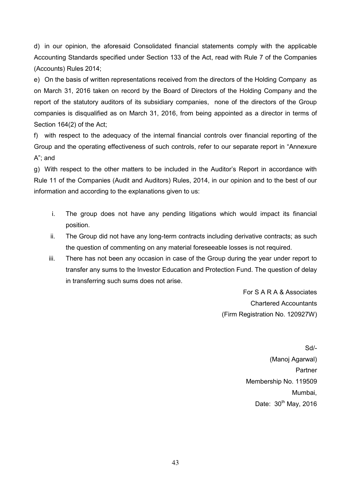d) in our opinion, the aforesaid Consolidated financial statements comply with the applicable Accounting Standards specified under Section 133 of the Act, read with Rule 7 of the Companies (Accounts) Rules 2014;

e) On the basis of written representations received from the directors of the Holding Company as on March 31, 2016 taken on record by the Board of Directors of the Holding Company and the report of the statutory auditors of its subsidiary companies, none of the directors of the Group companies is disqualified as on March 31, 2016, from being appointed as a director in terms of Section 164(2) of the Act;

f) with respect to the adequacy of the internal financial controls over financial reporting of the Group and the operating effectiveness of such controls, refer to our separate report in "Annexure A"; and

g) With respect to the other matters to be included in the Auditor's Report in accordance with Rule 11 of the Companies (Audit and Auditors) Rules, 2014, in our opinion and to the best of our information and according to the explanations given to us:

- i. The group does not have any pending litigations which would impact its financial position.
- ii. The Group did not have any long-term contracts including derivative contracts; as such the question of commenting on any material foreseeable losses is not required.
- iii. There has not been any occasion in case of the Group during the year under report to transfer any sums to the Investor Education and Protection Fund. The question of delay in transferring such sums does not arise.

For S A R A & Associates Chartered Accountants (Firm Registration No. 120927W)

> Sd/- (Manoj Agarwal) Partner Membership No. 119509 Mumbai, Date: 30<sup>th</sup> May, 2016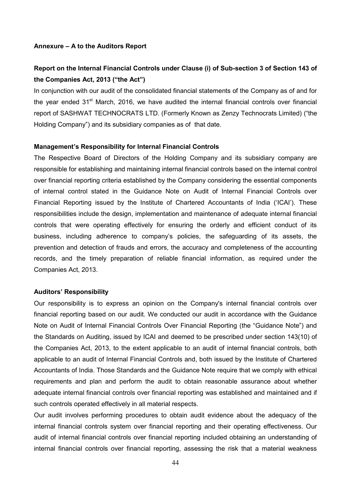#### **Annexure – A to the Auditors Report**

# **Report on the Internal Financial Controls under Clause (i) of Sub-section 3 of Section 143 of the Companies Act, 2013 ("the Act")**

In conjunction with our audit of the consolidated financial statements of the Company as of and for the year ended  $31<sup>st</sup>$  March, 2016, we have audited the internal financial controls over financial report of SASHWAT TECHNOCRATS LTD. (Formerly Known as Zenzy Technocrats Limited) ("the Holding Company") and its subsidiary companies as of that date.

#### **Management's Responsibility for Internal Financial Controls**

The Respective Board of Directors of the Holding Company and its subsidiary company are responsible for establishing and maintaining internal financial controls based on the internal control over financial reporting criteria established by the Company considering the essential components of internal control stated in the Guidance Note on Audit of Internal Financial Controls over Financial Reporting issued by the Institute of Chartered Accountants of India ('ICAI'). These responsibilities include the design, implementation and maintenance of adequate internal financial controls that were operating effectively for ensuring the orderly and efficient conduct of its business, including adherence to company's policies, the safeguarding of its assets, the prevention and detection of frauds and errors, the accuracy and completeness of the accounting records, and the timely preparation of reliable financial information, as required under the Companies Act, 2013.

#### **Auditors' Responsibility**

Our responsibility is to express an opinion on the Company's internal financial controls over financial reporting based on our audit. We conducted our audit in accordance with the Guidance Note on Audit of Internal Financial Controls Over Financial Reporting (the "Guidance Note") and the Standards on Auditing, issued by ICAI and deemed to be prescribed under section 143(10) of the Companies Act, 2013, to the extent applicable to an audit of internal financial controls, both applicable to an audit of Internal Financial Controls and, both issued by the Institute of Chartered Accountants of India. Those Standards and the Guidance Note require that we comply with ethical requirements and plan and perform the audit to obtain reasonable assurance about whether adequate internal financial controls over financial reporting was established and maintained and if such controls operated effectively in all material respects.

Our audit involves performing procedures to obtain audit evidence about the adequacy of the internal financial controls system over financial reporting and their operating effectiveness. Our audit of internal financial controls over financial reporting included obtaining an understanding of internal financial controls over financial reporting, assessing the risk that a material weakness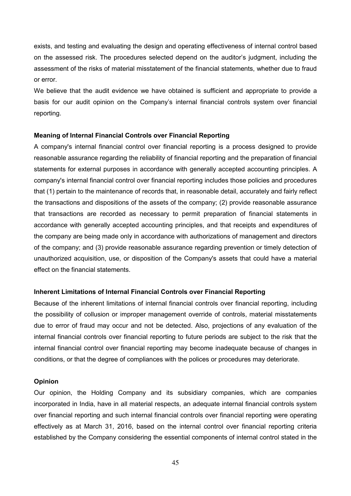exists, and testing and evaluating the design and operating effectiveness of internal control based on the assessed risk. The procedures selected depend on the auditor's judgment, including the assessment of the risks of material misstatement of the financial statements, whether due to fraud or error.

We believe that the audit evidence we have obtained is sufficient and appropriate to provide a basis for our audit opinion on the Company's internal financial controls system over financial reporting.

#### **Meaning of Internal Financial Controls over Financial Reporting**

A company's internal financial control over financial reporting is a process designed to provide reasonable assurance regarding the reliability of financial reporting and the preparation of financial statements for external purposes in accordance with generally accepted accounting principles. A company's internal financial control over financial reporting includes those policies and procedures that (1) pertain to the maintenance of records that, in reasonable detail, accurately and fairly reflect the transactions and dispositions of the assets of the company; (2) provide reasonable assurance that transactions are recorded as necessary to permit preparation of financial statements in accordance with generally accepted accounting principles, and that receipts and expenditures of the company are being made only in accordance with authorizations of management and directors of the company; and (3) provide reasonable assurance regarding prevention or timely detection of unauthorized acquisition, use, or disposition of the Company's assets that could have a material effect on the financial statements.

#### **Inherent Limitations of Internal Financial Controls over Financial Reporting**

Because of the inherent limitations of internal financial controls over financial reporting, including the possibility of collusion or improper management override of controls, material misstatements due to error of fraud may occur and not be detected. Also, projections of any evaluation of the internal financial controls over financial reporting to future periods are subject to the risk that the internal financial control over financial reporting may become inadequate because of changes in conditions, or that the degree of compliances with the polices or procedures may deteriorate.

#### **Opinion**

Our opinion, the Holding Company and its subsidiary companies, which are companies incorporated in India, have in all material respects, an adequate internal financial controls system over financial reporting and such internal financial controls over financial reporting were operating effectively as at March 31, 2016, based on the internal control over financial reporting criteria established by the Company considering the essential components of internal control stated in the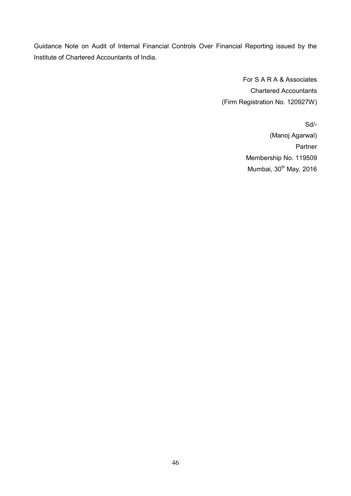Guidance Note on Audit of Internal Financial Controls Over Financial Reporting issued by the Institute of Chartered Accountants of India.

> For S A R A & Associates Chartered Accountants (Firm Registration No. 120927W)

> > Sd/- (Manoj Agarwal) Partner Membership No. 119509 Mumbai, 30<sup>th</sup> May, 2016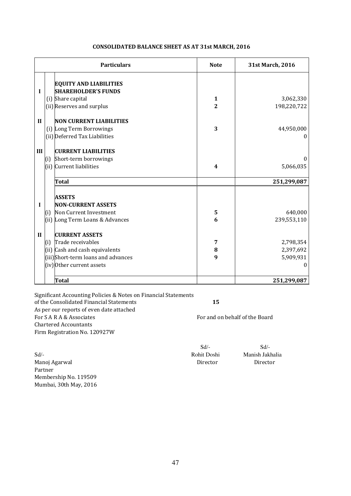| <b>Particulars</b>                                               | <b>Note</b>             | 31st March, 2016 |
|------------------------------------------------------------------|-------------------------|------------------|
| <b>EQUITY AND LIABILITIES</b><br><b>SHAREHOLDER'S FUNDS</b><br>I |                         |                  |
| (i) Share capital                                                | $\mathbf{1}$            | 3,062,330        |
| (ii) Reserves and surplus                                        | $\overline{2}$          | 198,220,722      |
| $\mathbf{H}$<br><b>NON CURRENT LIABILITIES</b>                   |                         |                  |
| (i) Long Term Borrowings                                         | 3                       | 44,950,000       |
| (ii) Deferred Tax Liabilities                                    |                         | $\theta$         |
| III<br><b>CURRENT LIABILITIES</b>                                |                         |                  |
| Short-term borrowings<br>(i)                                     |                         | $\Omega$         |
| (ii) Current liabilities                                         | $\overline{\mathbf{4}}$ | 5,066,035        |
| Total                                                            |                         | 251,299,087      |
| <b>ASSETS</b>                                                    |                         |                  |
| <b>NON-CURRENT ASSETS</b><br>I                                   |                         |                  |
| Non Current Investment<br>(i)                                    | 5                       | 640,000          |
| (ii) Long Term Loans & Advances                                  | 6                       | 239,553,110      |
| $\mathbf{I}$<br><b>CURRENT ASSETS</b>                            |                         |                  |
| Trade receivables<br>(i)                                         | 7                       | 2,798,354        |
| (ii) Cash and cash equivalents                                   | 8                       | 2,397,692        |
| (iii)Short-term loans and advances                               | 9                       | 5,909,931        |
| (iv)Other current assets                                         |                         | $\Omega$         |
| <b>Total</b>                                                     |                         | 251,299,087      |

#### **CONSOLIDATED BALANCE SHEET AS AT 31st MARCH, 2016**

Significant Accounting Policies & Notes on Financial Statements of the Consolidated Financial Statements **15** As per our reports of even date attached For S A R A & Associates For and on behalf of the Board Chartered Accountants Firm Registration No. 120927W

 $Sd$ - $Sd$ -

Sd/- Rohit Doshi Manish Jakhalia Manoj Agarwal **Director** Director **Director** Director Partner Membership No. 119509 Mumbai, 30th May, 2016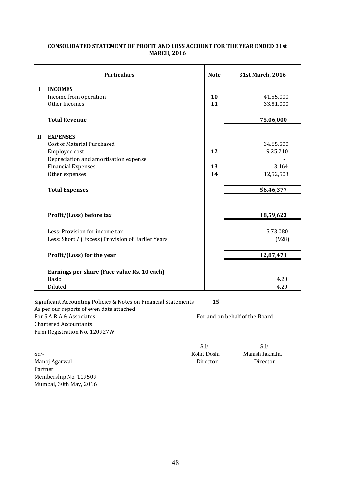|              | <b>Particulars</b>                                | <b>Note</b> | 31st March, 2016 |
|--------------|---------------------------------------------------|-------------|------------------|
| I            | <b>INCOMES</b>                                    |             |                  |
|              | Income from operation                             | 10          | 41,55,000        |
|              | Other incomes                                     | 11          | 33,51,000        |
|              | <b>Total Revenue</b>                              |             | 75,06,000        |
| $\mathbf{I}$ | <b>EXPENSES</b>                                   |             |                  |
|              | Cost of Material Purchased                        |             | 34,65,500        |
|              | Employee cost                                     | 12          | 9,25,210         |
|              | Depreciation and amortisation expense             |             |                  |
|              | <b>Financial Expenses</b>                         | 13          | 3,164            |
|              | Other expenses                                    | 14          | 12,52,503        |
|              | <b>Total Expenses</b>                             |             | 56,46,377        |
|              |                                                   |             |                  |
|              | Profit/(Loss) before tax                          |             | 18,59,623        |
|              | Less: Provision for income tax                    |             | 5,73,080         |
|              | Less: Short / (Excess) Provision of Earlier Years |             | (928)            |
|              | Profit/(Loss) for the year                        |             | 12,87,471        |
|              | Earnings per share (Face value Rs. 10 each)       |             |                  |
|              | <b>Basic</b>                                      |             | 4.20             |
|              | Diluted                                           |             | 4.20             |

#### **CONSOLIDATED STATEMENT OF PROFIT AND LOSS ACCOUNT FOR THE YEAR ENDED 31st MARCH, 2016**

Significant Accounting Policies & Notes on Financial Statements **15** As per our reports of even date attached For SA R A & Associates For and on behalf of the Board Chartered Accountants Firm Registration No. 120927W

Sd/- Rohit Doshi Manish Jakhalia Manoj Agarwal **Director** Director **Director** Director Partner Membership No. 119509 Mumbai, 30th May, 2016

 $Sd$ - $Sd$ -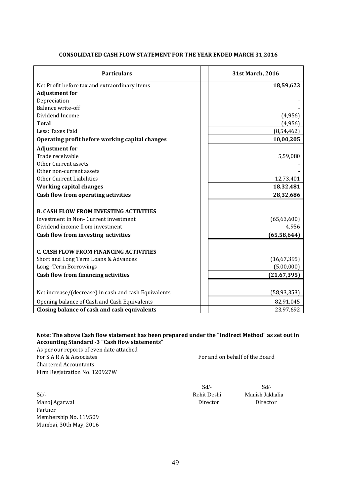| <b>Particulars</b>                                   | 31st March, 2016 |
|------------------------------------------------------|------------------|
| Net Profit before tax and extraordinary items        | 18,59,623        |
| <b>Adjustment for</b>                                |                  |
| Depreciation                                         |                  |
| <b>Balance write-off</b>                             |                  |
| Dividend Income                                      | (4,956)          |
| <b>Total</b>                                         | (4,956)          |
| Less: Taxes Paid                                     | (8, 54, 462)     |
| Operating profit before working capital changes      | 10,00,205        |
| <b>Adjustment for</b>                                |                  |
| Trade receivable                                     | 5,59,080         |
| <b>Other Current assets</b>                          |                  |
| Other non-current assets                             |                  |
| <b>Other Current Liabilities</b>                     | 12,73,401        |
| <b>Working capital changes</b>                       | 18,32,481        |
| Cash flow from operating activities                  | 28,32,686        |
|                                                      |                  |
| <b>B. CASH FLOW FROM INVESTING ACTIVITIES</b>        |                  |
| Investment in Non- Current investment                | (65, 63, 600)    |
| Dividend income from investment                      | 4,956            |
| Cash flow from investing activities                  | (65, 58, 644)    |
|                                                      |                  |
| <b>C. CASH FLOW FROM FINANCING ACTIVITIES</b>        |                  |
| Short and Long Term Loans & Advances                 | (16, 67, 395)    |
| Long-Term Borrowings                                 | (5,00,000)       |
| <b>Cash flow from financing activities</b>           | (21, 67, 395)    |
|                                                      |                  |
| Net increase/(decrease) in cash and cash Equivalents | (58, 93, 353)    |
| Opening balance of Cash and Cash Equivalents         | 82,91,045        |
| Closing balance of cash and cash equivalents         | 23,97,692        |

#### **CONSOLIDATED CASH FLOW STATEMENT FOR THE YEAR ENDED MARCH 31,2016**

### **Note: The above Cash flow statement has been prepared under the "Indirect Method" as set out in Accounting Standard -3 "Cash flow statements"**

As per our reports of even date attached For SARA & Associates For and on behalf of the Board Chartered Accountants Firm Registration No. 120927W

Sd/- Rohit Doshi Manish Jakhalia Manoj Agarwal **Director** Director **Director** Director Partner Membership No. 119509 Mumbai, 30th May, 2016

 $Sd$ - $Sd$ -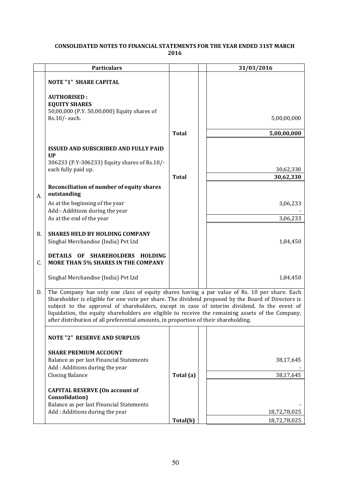#### **CONSOLIDATED NOTES TO FINANCIAL STATEMENTS FOR THE YEAR ENDED 31ST MARCH 2016**

|    | <b>Particulars</b>                                                                                                                                                                                                                                                                                                                                                                                                                                                                              |              | 31/03/2016             |
|----|-------------------------------------------------------------------------------------------------------------------------------------------------------------------------------------------------------------------------------------------------------------------------------------------------------------------------------------------------------------------------------------------------------------------------------------------------------------------------------------------------|--------------|------------------------|
|    | <b>NOTE "1" SHARE CAPITAL</b>                                                                                                                                                                                                                                                                                                                                                                                                                                                                   |              |                        |
|    | <b>AUTHORISED:</b><br><b>EQUITY SHARES</b><br>50,00,000 (P.Y. 50,00,000) Equity shares of                                                                                                                                                                                                                                                                                                                                                                                                       |              |                        |
|    | Rs.10/- each.                                                                                                                                                                                                                                                                                                                                                                                                                                                                                   |              | 5,00,00,000            |
|    |                                                                                                                                                                                                                                                                                                                                                                                                                                                                                                 | <b>Total</b> | 5,00,00,000            |
|    | <b>ISSUED AND SUBSCRIBED AND FULLY PAID</b>                                                                                                                                                                                                                                                                                                                                                                                                                                                     |              |                        |
|    | $_{\text{UP}}$<br>306233 (P.Y-306233) Equity shares of Rs.10/-                                                                                                                                                                                                                                                                                                                                                                                                                                  |              |                        |
|    | each fully paid up.                                                                                                                                                                                                                                                                                                                                                                                                                                                                             | <b>Total</b> | 30,62,330<br>30,62,330 |
| А. | Reconciliation of number of equity shares<br>outstanding                                                                                                                                                                                                                                                                                                                                                                                                                                        |              |                        |
|    | As at the beginning of the year<br>Add:- Additions during the year                                                                                                                                                                                                                                                                                                                                                                                                                              |              | 3,06,233               |
|    | As at the end of the year                                                                                                                                                                                                                                                                                                                                                                                                                                                                       |              | 3,06,233               |
| В. | <b>SHARES HELD BY HOLDING COMPANY</b><br>Singhal Merchandise (India) Pvt Ltd                                                                                                                                                                                                                                                                                                                                                                                                                    |              | 1,84,450               |
| C. | DETAILS OF<br>SHAREHOLDERS HOLDING<br><b>MORE THAN 5% SHARES IN THE COMPANY</b>                                                                                                                                                                                                                                                                                                                                                                                                                 |              |                        |
|    | Singhal Merchandise (India) Pvt Ltd                                                                                                                                                                                                                                                                                                                                                                                                                                                             |              | 1,84,450               |
| D. | The Company has only one class of equity shares having a par value of Rs. 10 per share. Each<br>Shareholder is eligible for one vote per share. The dividend proposed by the Board of Directors is<br>subject to the approval of shareholders, except in case of interim dividend. In the event of<br>liquidation, the equity shareholders are eligible to receive the remaining assets of the Company,<br>after distribution of all preferential amounts, in proportion of their shareholding. |              |                        |
|    | <b>NOTE "2" RESERVE AND SURPLUS</b>                                                                                                                                                                                                                                                                                                                                                                                                                                                             |              |                        |

| <b>NOTE "2" RESERVE AND SURPLUS</b>                                                                                                   |           |              |
|---------------------------------------------------------------------------------------------------------------------------------------|-----------|--------------|
| <b>SHARE PREMIUM ACCOUNT</b><br>Balance as per last Financial Statements<br>Add: Additions during the year                            |           | 38,17,645    |
| <b>Closing Balance</b>                                                                                                                | Total (a) | 38,17,645    |
| <b>CAPITAL RESERVE (On account of</b><br>Consolidation)<br>Balance as per last Financial Statements<br>Add: Additions during the year |           | 18,72,78,025 |
|                                                                                                                                       | Total(b)  | 18,72,78,025 |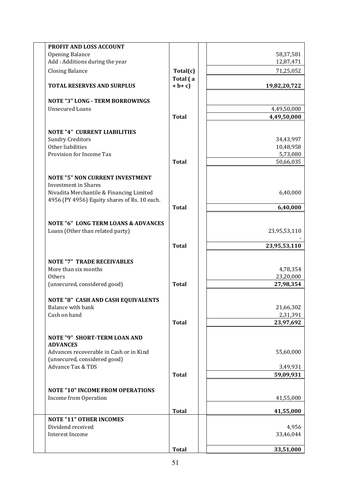|                                              | PROFIT AND LOSS ACCOUNT                                                                                        |                       |                                    |
|----------------------------------------------|----------------------------------------------------------------------------------------------------------------|-----------------------|------------------------------------|
| Opening Balance                              |                                                                                                                |                       | 58,37,581                          |
|                                              | Add: Additions during the year                                                                                 |                       | 12,87,471                          |
| <b>Closing Balance</b>                       |                                                                                                                | Total(c)              | 71,25,052                          |
|                                              | <b>TOTAL RESERVES AND SURPLUS</b>                                                                              | Total (a<br>$+ b + c$ | 19,82,20,722                       |
|                                              | <b>NOTE "3" LONG - TERM BORROWINGS</b>                                                                         |                       |                                    |
| <b>Unsecured Loans</b>                       |                                                                                                                |                       | 4,49,50,000                        |
|                                              |                                                                                                                | <b>Total</b>          | 4,49,50,000                        |
| <b>Sundry Creditors</b><br>Other liabilities | <b>NOTE "4" CURRENT LIABILITIES</b>                                                                            |                       | 34,43,997<br>10,48,958             |
| Provision for Income Tax                     |                                                                                                                |                       | 5,73,080                           |
|                                              |                                                                                                                | <b>Total</b>          | 50,66,035                          |
| <b>Investment</b> in Shares                  | <b>NOTE "5" NON CURRENT INVESTMENT</b><br>Nivadita Merchantile & Financing Limited                             |                       | 6,40,000                           |
|                                              | 4956 (PY 4956) Equity shares of Rs. 10 each.                                                                   | <b>Total</b>          | 6,40,000                           |
|                                              | <b>NOTE "6" LONG TERM LOANS &amp; ADVANCES</b>                                                                 |                       |                                    |
|                                              | Loans (Other than related party)                                                                               |                       | 23,95,53,110                       |
|                                              |                                                                                                                | <b>Total</b>          | 23,95,53,110                       |
| More than six months<br>Others               | <b>NOTE "7" TRADE RECEIVABLES</b><br>(unsecured, considered good)                                              | <b>Total</b>          | 4,78,354<br>23,20,000<br>27,98,354 |
| Balance with bank<br>Cash on hand            | <b>NOTE "8" CASH AND CASH EQUIVALENTS</b>                                                                      | <b>Total</b>          | 21,66,302<br>2,31,391<br>23,97,692 |
| <b>ADVANCES</b><br>Advance Tax & TDS         | <b>NOTE "9" SHORT-TERM LOAN AND</b><br>Advances recoverable in Cash or in Kind<br>(unsecured, considered good) |                       | 55,60,000                          |
|                                              |                                                                                                                | <b>Total</b>          | 3,49,931<br>59,09,931              |
|                                              | <b>NOTE "10" INCOME FROM OPERATIONS</b>                                                                        |                       |                                    |
| Income from Operation                        |                                                                                                                |                       | 41,55,000                          |
|                                              |                                                                                                                | <b>Total</b>          | 41,55,000                          |
|                                              | <b>NOTE "11" OTHER INCOMES</b>                                                                                 |                       |                                    |
| Dividend received<br>Interest Income         |                                                                                                                |                       | 4,956                              |
|                                              |                                                                                                                |                       | 33,46,044                          |
|                                              |                                                                                                                | <b>Total</b>          | 33,51,000                          |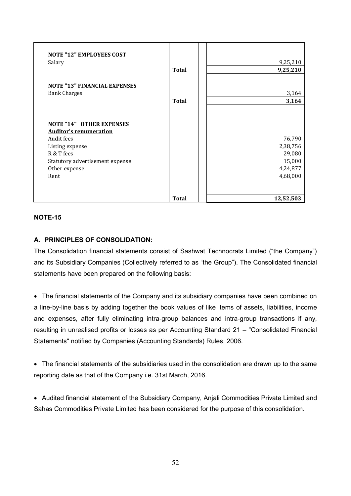| <b>NOTE "12" EMPLOYEES COST</b><br>Salary                                                                                                                                   | <b>Total</b> | 9,25,210<br>9,25,210                                           |
|-----------------------------------------------------------------------------------------------------------------------------------------------------------------------------|--------------|----------------------------------------------------------------|
| <b>NOTE "13" FINANCIAL EXPENSES</b><br><b>Bank Charges</b>                                                                                                                  | <b>Total</b> | 3,164<br>3,164                                                 |
| <b>NOTE "14" OTHER EXPENSES</b><br><b>Auditor's remuneration</b><br>Audit fees<br>Listing expense<br>R & T fees<br>Statutory advertisement expense<br>Other expense<br>Rent |              | 76,790<br>2,38,756<br>29,080<br>15,000<br>4,24,877<br>4,68,000 |
|                                                                                                                                                                             | <b>Total</b> | 12,52,503                                                      |

# **NOTE-15**

# **A. PRINCIPLES OF CONSOLIDATION:**

The Consolidation financial statements consist of Sashwat Technocrats Limited ("the Company") and its Subsidiary Companies (Collectively referred to as "the Group"). The Consolidated financial statements have been prepared on the following basis:

 The financial statements of the Company and its subsidiary companies have been combined on a line-by-line basis by adding together the book values of like items of assets, liabilities, income and expenses, after fully eliminating intra-group balances and intra-group transactions if any, resulting in unrealised profits or losses as per Accounting Standard 21 – "Consolidated Financial Statements" notified by Companies (Accounting Standards) Rules, 2006.

 The financial statements of the subsidiaries used in the consolidation are drawn up to the same reporting date as that of the Company i.e. 31st March, 2016.

 Audited financial statement of the Subsidiary Company, Anjali Commodities Private Limited and Sahas Commodities Private Limited has been considered for the purpose of this consolidation.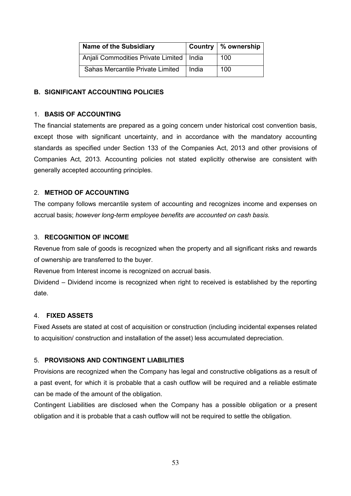| Name of the Subsidiary                     |       | Country   % ownership |
|--------------------------------------------|-------|-----------------------|
| Anjali Commodities Private Limited   India |       | 100                   |
| Sahas Mercantile Private Limited           | ⊟ndia | 100                   |

# **B. SIGNIFICANT ACCOUNTING POLICIES**

# 1. **BASIS OF ACCOUNTING**

The financial statements are prepared as a going concern under historical cost convention basis, except those with significant uncertainty, and in accordance with the mandatory accounting standards as specified under Section 133 of the Companies Act, 2013 and other provisions of Companies Act, 2013. Accounting policies not stated explicitly otherwise are consistent with generally accepted accounting principles.

# 2. **METHOD OF ACCOUNTING**

The company follows mercantile system of accounting and recognizes income and expenses on accrual basis; *however long-term employee benefits are accounted on cash basis.* 

# 3. **RECOGNITION OF INCOME**

Revenue from sale of goods is recognized when the property and all significant risks and rewards of ownership are transferred to the buyer.

Revenue from Interest income is recognized on accrual basis.

Dividend – Dividend income is recognized when right to received is established by the reporting date.

# 4. **FIXED ASSETS**

Fixed Assets are stated at cost of acquisition or construction (including incidental expenses related to acquisition/ construction and installation of the asset) less accumulated depreciation.

# 5. **PROVISIONS AND CONTINGENT LIABILITIES**

Provisions are recognized when the Company has legal and constructive obligations as a result of a past event, for which it is probable that a cash outflow will be required and a reliable estimate can be made of the amount of the obligation.

Contingent Liabilities are disclosed when the Company has a possible obligation or a present obligation and it is probable that a cash outflow will not be required to settle the obligation.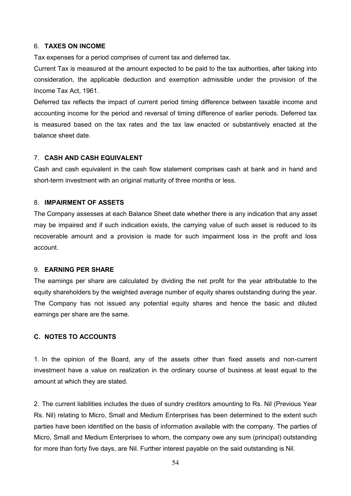#### 6. **TAXES ON INCOME**

Tax expenses for a period comprises of current tax and deferred tax.

Current Tax is measured at the amount expected to be paid to the tax authorities, after taking into consideration, the applicable deduction and exemption admissible under the provision of the Income Tax Act, 1961.

Deferred tax reflects the impact of current period timing difference between taxable income and accounting income for the period and reversal of timing difference of earlier periods. Deferred tax is measured based on the tax rates and the tax law enacted or substantively enacted at the balance sheet date.

### 7. **CASH AND CASH EQUIVALENT**

Cash and cash equivalent in the cash flow statement comprises cash at bank and in hand and short-term investment with an original maturity of three months or less.

#### 8. **IMPAIRMENT OF ASSETS**

The Company assesses at each Balance Sheet date whether there is any indication that any asset may be impaired and if such indication exists, the carrying value of such asset is reduced to its recoverable amount and a provision is made for such impairment loss in the profit and loss account.

#### 9. **EARNING PER SHARE**

The earnings per share are calculated by dividing the net profit for the year attributable to the equity shareholders by the weighted average number of equity shares outstanding during the year. The Company has not issued any potential equity shares and hence the basic and diluted earnings per share are the same.

# **C. NOTES TO ACCOUNTS**

1. In the opinion of the Board, any of the assets other than fixed assets and non-current investment have a value on realization in the ordinary course of business at least equal to the amount at which they are stated.

2. The current liabilities includes the dues of sundry creditors amounting to Rs. Nil (Previous Year Rs. Nil) relating to Micro, Small and Medium Enterprises has been determined to the extent such parties have been identified on the basis of information available with the company. The parties of Micro, Small and Medium Enterprises to whom, the company owe any sum (principal) outstanding for more than forty five days, are Nil. Further interest payable on the said outstanding is Nil.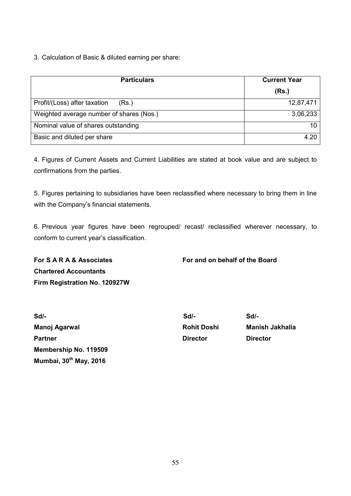3. Calculation of Basic & diluted earning per share:

| <b>Particulars</b>                       | <b>Current Year</b> |  |
|------------------------------------------|---------------------|--|
|                                          | (Rs.)               |  |
| Profit/(Loss) after taxation<br>(Rs.)    | 12,87,471           |  |
| Weighted average number of shares (Nos.) | 3,06,233            |  |
| Nominal value of shares outstanding      | 10                  |  |
| Basic and diluted per share              | 4.20                |  |

4. Figures of Current Assets and Current Liabilities are stated at book value and are subject to confirmations from the parties.

5. Figures pertaining to subsidiaries have been reclassified where necessary to bring them in line with the Company's financial statements.

6. Previous year figures have been regrouped/ recast/ reclassified wherever necessary, to conform to current year's classification.

**For S A R A & Associates For and on behalf of the Board Chartered Accountants Firm Registration No. 120927W** 

| $Sd$ -                 | Sd/-               | Sd/-                   |
|------------------------|--------------------|------------------------|
| Manoj Agarwal          | <b>Rohit Doshi</b> | <b>Manish Jakhalia</b> |
| <b>Partner</b>         | <b>Director</b>    | <b>Director</b>        |
| Membership No. 119509  |                    |                        |
| Mumbai, 30th May, 2016 |                    |                        |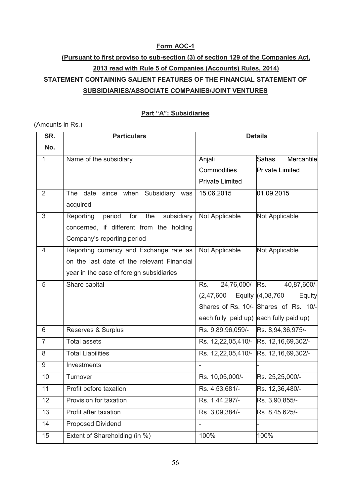# **Form AOC-1**

# **(Pursuant to first proviso to sub-section (3) of section 129 of the Companies Act, 2013 read with Rule 5 of Companies (Accounts) Rules, 2014) STATEMENT CONTAINING SALIENT FEATURES OF THE FINANCIAL STATEMENT OF SUBSIDIARIES/ASSOCIATE COMPANIES/JOINT VENTURES**

# **Part "A": Subsidiaries**

### (Amounts in Rs.)

| SR.            | <b>Particulars</b>                           | <b>Details</b>                          |                                       |
|----------------|----------------------------------------------|-----------------------------------------|---------------------------------------|
| No.            |                                              |                                         |                                       |
| $\mathbf{1}$   | Name of the subsidiary                       | Anjali                                  | Mercantile<br><b>Sahas</b>            |
|                |                                              | Commodities                             | <b>Private Limited</b>                |
|                |                                              | <b>Private Limited</b>                  |                                       |
| 2              | since when Subsidiary was<br>The date        | 15.06.2015                              | 01.09.2015                            |
|                | acquired                                     |                                         |                                       |
| 3              | period for<br>the<br>subsidiary<br>Reporting | Not Applicable                          | Not Applicable                        |
|                | concerned, if different from the holding     |                                         |                                       |
|                | Company's reporting period                   |                                         |                                       |
| 4              | Reporting currency and Exchange rate as      | Not Applicable                          | Not Applicable                        |
|                | on the last date of the relevant Financial   |                                         |                                       |
|                | year in the case of foreign subsidiaries     |                                         |                                       |
| 5              | Share capital                                | 24,76,000/- Rs.<br>Rs.                  | 40,87,600/-                           |
|                |                                              | (2, 47, 600)                            | Equity (4,08,760<br>Equity            |
|                |                                              |                                         | Shares of Rs. 10/- Shares of Rs. 10/- |
|                |                                              | each fully paid up) each fully paid up) |                                       |
| 6              | Reserves & Surplus                           | Rs. 9,89,96,059/-                       | Rs. 8,94,36,975/-                     |
| $\overline{7}$ | <b>Total assets</b>                          | Rs. 12,22,05,410/- Rs. 12,16,69,302/-   |                                       |
| 8              | <b>Total Liabilities</b>                     | Rs. 12,22,05,410/- Rs. 12,16,69,302/-   |                                       |
| 9              | Investments                                  |                                         |                                       |
| 10             | Turnover                                     | Rs. 10,05,000/-                         | Rs. 25,25,000/-                       |
| 11             | Profit before taxation                       | Rs. 4,53,681/-                          | Rs. 12,36,480/-                       |
| 12             | Provision for taxation                       | Rs. 1,44,297/-                          | Rs. 3,90,855/-                        |
| 13             | Profit after taxation                        | Rs. 3,09,384/-                          | Rs. 8,45,625/-                        |
| 14             | <b>Proposed Dividend</b>                     | $\overline{\phantom{0}}$                |                                       |
| 15             | Extent of Shareholding (in %)                | 100%                                    | 100%                                  |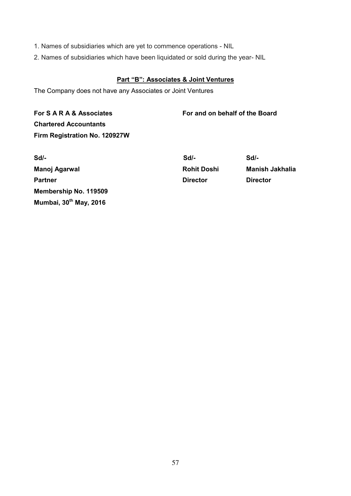- 1. Names of subsidiaries which are yet to commence operations NIL
- 2. Names of subsidiaries which have been liquidated or sold during the year- NIL

# **Part "B": Associates & Joint Ventures**

The Company does not have any Associates or Joint Ventures

**For S A R A & Associates For and on behalf of the Board Chartered Accountants Firm Registration No. 120927W** 

| Sd/-                   | Sd/-               | Sd/-            |
|------------------------|--------------------|-----------------|
| Manoj Agarwal          | <b>Rohit Doshi</b> | Manish J        |
| <b>Partner</b>         | <b>Director</b>    | <b>Director</b> |
| Membership No. 119509  |                    |                 |
| Mumbai, 30th May, 2016 |                    |                 |

**Rohit Doshi Manish Jakhalia**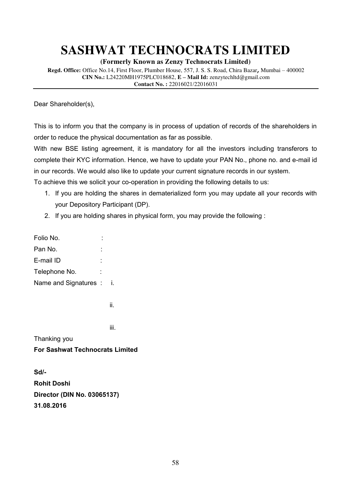**(Formerly Known as Zenzy Technocrats Limited)**

**Regd. Office:** Office No.14, First Floor, Plumber House, 557, J. S. S. Road, Chira Bazar**,** Mumbai – 400002 **CIN No.:** L24220MH1975PLC018682, **E – Mail Id:** zenzytechltd@gmail.com **Contact No. :** 22016021/22016031

Dear Shareholder(s),

This is to inform you that the company is in process of updation of records of the shareholders in order to reduce the physical documentation as far as possible.

With new BSE listing agreement, it is mandatory for all the investors including transferors to complete their KYC information. Hence, we have to update your PAN No., phone no. and e-mail id in our records. We would also like to update your current signature records in our system.

To achieve this we solicit your co-operation in providing the following details to us:

- 1. If you are holding the shares in dematerialized form you may update all your records with your Depository Participant (DP).
- 2. If you are holding shares in physical form, you may provide the following :

| Folio No.             |  |
|-----------------------|--|
| Pan No.               |  |
| E-mail ID             |  |
| Telephone No.         |  |
| Name and Signatures : |  |

ii. In the contract of the contract of the

Thanking you

**For Sashwat Technocrats Limited** 

**Sd/- Rohit Doshi Director (DIN No. [03065137\)](http://www.mca.gov.in/mcafoportal/companyLLPMasterData.do) 31.08.2016** 

iii. In teense van die koning van die koning van die koning van die koning van die koning van die koning van d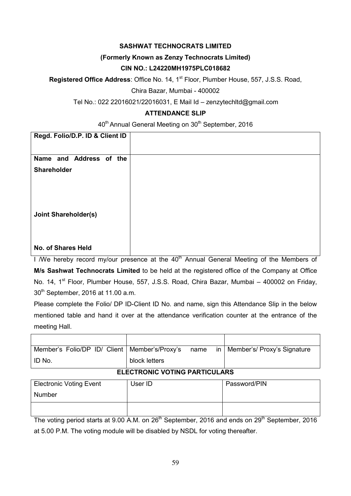# **(Formerly Known as Zenzy Technocrats Limited)**

# **CIN NO.: L24220MH1975PLC018682**

**Registered Office Address:** Office No. 14, 1<sup>st</sup> Floor, Plumber House, 557, J.S.S. Road,

Chira Bazar, Mumbai - 400002

Tel No.: 022 22016021/22016031, E Mail Id – zenzytechltd@gmail.com

# **ATTENDANCE SLIP**

40<sup>th</sup> Annual General Meeting on 30<sup>th</sup> September, 2016

| Regd. Folio/D.P. ID & Client ID |                                                                        |
|---------------------------------|------------------------------------------------------------------------|
| Name and Address of the         |                                                                        |
| Shareholder                     |                                                                        |
|                                 |                                                                        |
|                                 |                                                                        |
|                                 |                                                                        |
| <b>Joint Shareholder(s)</b>     |                                                                        |
|                                 |                                                                        |
|                                 |                                                                        |
|                                 |                                                                        |
| <b>No. of Shares Held</b>       | $ +$ $ -$<br>$\sim$ $\sim$ $\sim$<br>$\sim$ $\sim$<br>.<br>.<br>$\sim$ |

I We hereby record my/our presence at the  $40<sup>th</sup>$  Annual General Meeting of the Members of **M/s Sashwat Technocrats Limited** to be held at the registered office of the Company at Office No. 14, 1<sup>st</sup> Floor, Plumber House, 557, J.S.S. Road, Chira Bazar, Mumbai – 400002 on Friday, 30<sup>th</sup> September, 2016 at 11.00 a.m.

Please complete the Folio/ DP ID-Client ID No. and name, sign this Attendance Slip in the below mentioned table and hand it over at the attendance verification counter at the entrance of the meeting Hall.

| Member's Folio/DP ID/ Client   Member's/Proxy's | name<br><sub>in</sub> | Member's/ Proxy's Signature |  |
|-------------------------------------------------|-----------------------|-----------------------------|--|
| ID No.                                          | block letters         |                             |  |
| FLEATRAULA VATINA BABTIAUL ARA                  |                       |                             |  |

# **ELECTRONIC VOTING PARTICULARS**

| <b>Electronic Voting Event</b> | User ID | Password/PIN |
|--------------------------------|---------|--------------|
| <b>Number</b>                  |         |              |
|                                |         |              |

The voting period starts at 9.00 A.M. on 26<sup>th</sup> September, 2016 and ends on 29<sup>th</sup> September, 2016 at 5.00 P.M. The voting module will be disabled by NSDL for voting thereafter.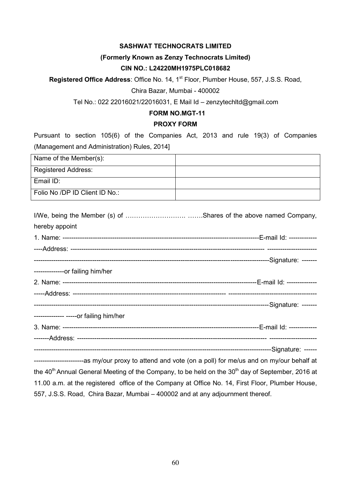# **(Formerly Known as Zenzy Technocrats Limited)**

## **CIN NO.: L24220MH1975PLC018682**

**Registered Office Address**: Office No. 14, 1<sup>st</sup> Floor, Plumber House, 557, J.S.S. Road,

Chira Bazar, Mumbai - 400002

Tel No.: 022 22016021/22016031, E Mail Id – zenzytechltd@gmail.com

# **FORM NO.MGT-11**

#### **PROXY FORM**

Pursuant to section 105(6) of the Companies Act, 2013 and rule 19(3) of Companies (Management and Administration) Rules, 2014]

| Name of the Member(s):         |  |
|--------------------------------|--|
| <b>Registered Address:</b>     |  |
| Email ID:                      |  |
| Folio No /DP ID Client ID No.: |  |

| hereby appoint                          |  |  |  |
|-----------------------------------------|--|--|--|
|                                         |  |  |  |
|                                         |  |  |  |
|                                         |  |  |  |
| --------------or failing him/her        |  |  |  |
|                                         |  |  |  |
|                                         |  |  |  |
|                                         |  |  |  |
| -------------- ----- or failing him/her |  |  |  |
|                                         |  |  |  |
|                                         |  |  |  |
|                                         |  |  |  |

-----------------------as my/our proxy to attend and vote (on a poll) for me/us and on my/our behalf at the  $40<sup>th</sup>$  Annual General Meeting of the Company, to be held on the  $30<sup>th</sup>$  day of September, 2016 at 11.00 a.m. at the registered office of the Company at Office No. 14, First Floor, Plumber House, 557, J.S.S. Road, Chira Bazar, Mumbai – 400002 and at any adjournment thereof.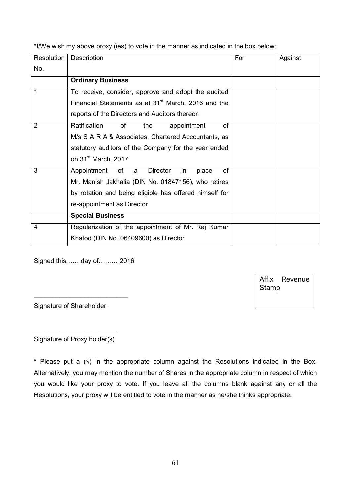\*I/We wish my above proxy (ies) to vote in the manner as indicated in the box below:

| Resolution     | Description                                                     | For | Against |
|----------------|-----------------------------------------------------------------|-----|---------|
| No.            |                                                                 |     |         |
|                | <b>Ordinary Business</b>                                        |     |         |
| 1              | To receive, consider, approve and adopt the audited             |     |         |
|                | Financial Statements as at 31 <sup>st</sup> March, 2016 and the |     |         |
|                | reports of the Directors and Auditors thereon                   |     |         |
| $\overline{2}$ | Ratification<br>οf<br>οf<br>the<br>appointment                  |     |         |
|                | M/s S A R A & Associates, Chartered Accountants, as             |     |         |
|                | statutory auditors of the Company for the year ended            |     |         |
|                | on 31 <sup>st</sup> March, 2017                                 |     |         |
| 3              | Appointment<br>of a<br><b>Director</b><br>οf<br>in<br>place     |     |         |
|                | Mr. Manish Jakhalia (DIN No. 01847156), who retires             |     |         |
|                | by rotation and being eligible has offered himself for          |     |         |
|                | re-appointment as Director                                      |     |         |
|                | <b>Special Business</b>                                         |     |         |
| 4              | Regularization of the appointment of Mr. Raj Kumar              |     |         |
|                | Khatod (DIN No. 06409600) as Director                           |     |         |

Signed this…… day of……… 2016

\_\_\_\_\_\_\_\_\_\_\_\_\_\_\_\_\_\_\_\_\_\_\_\_\_\_

Affix Revenue Stamp

Signature of Shareholder

\_\_\_\_\_\_\_\_\_\_\_\_\_\_\_\_\_\_\_\_\_\_\_ Signature of Proxy holder(s)

\* Please put a  $(\sqrt{)}$  in the appropriate column against the Resolutions indicated in the Box. Alternatively, you may mention the number of Shares in the appropriate column in respect of which you would like your proxy to vote. If you leave all the columns blank against any or all the Resolutions, your proxy will be entitled to vote in the manner as he/she thinks appropriate.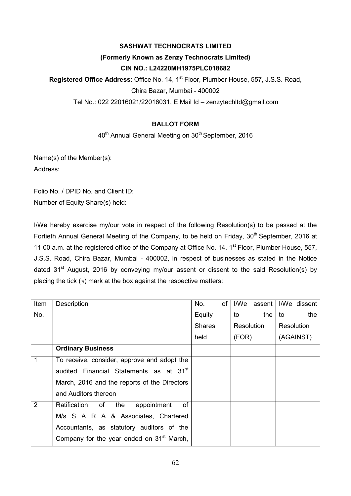# **(Formerly Known as Zenzy Technocrats Limited) CIN NO.: L24220MH1975PLC018682**

**Registered Office Address:** Office No. 14, 1<sup>st</sup> Floor, Plumber House, 557, J.S.S. Road,

Chira Bazar, Mumbai - 400002

Tel No.: 022 22016021/22016031, E Mail Id – zenzytechltd@gmail.com

# **BALLOT FORM**

40<sup>th</sup> Annual General Meeting on 30<sup>th</sup> September, 2016

Name(s) of the Member(s): Address:

Folio No. / DPID No. and Client ID: Number of Equity Share(s) held:

I/We hereby exercise my/our vote in respect of the following Resolution(s) to be passed at the Fortieth Annual General Meeting of the Company, to be held on Friday, 30<sup>th</sup> September, 2016 at 11.00 a.m. at the registered office of the Company at Office No. 14, 1<sup>st</sup> Floor, Plumber House, 557, J.S.S. Road, Chira Bazar, Mumbai - 400002, in respect of businesses as stated in the Notice dated 31<sup>st</sup> August, 2016 by conveying my/our assent or dissent to the said Resolution(s) by placing the tick  $(\sqrt{ } )$  mark at the box against the respective matters:

| Item | Description                                            | No.           | οf |            | I/We assent |                   | I/We dissent |
|------|--------------------------------------------------------|---------------|----|------------|-------------|-------------------|--------------|
| No.  |                                                        | Equity        |    | to         | the         | to                | the          |
|      |                                                        | <b>Shares</b> |    | Resolution |             | <b>Resolution</b> |              |
|      |                                                        | held          |    | (FOR)      |             |                   | (AGAINST)    |
|      | <b>Ordinary Business</b>                               |               |    |            |             |                   |              |
| 1    | To receive, consider, approve and adopt the            |               |    |            |             |                   |              |
|      | audited Financial Statements as at 31 <sup>st</sup>    |               |    |            |             |                   |              |
|      | March, 2016 and the reports of the Directors           |               |    |            |             |                   |              |
|      | and Auditors thereon                                   |               |    |            |             |                   |              |
| 2    | Ratification<br>οf<br>$\circ$ of<br>the<br>appointment |               |    |            |             |                   |              |
|      | M/s S A R A & Associates, Chartered                    |               |    |            |             |                   |              |
|      | Accountants, as statutory auditors of the              |               |    |            |             |                   |              |
|      | Company for the year ended on 31 <sup>st</sup> March,  |               |    |            |             |                   |              |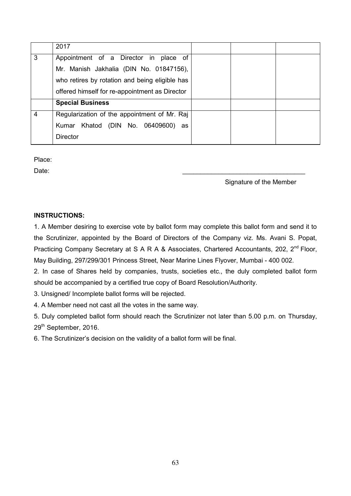|   | 2017                                           |  |  |
|---|------------------------------------------------|--|--|
| 3 | Appointment of a Director in<br>place of       |  |  |
|   | Mr. Manish Jakhalia (DIN No. 01847156),        |  |  |
|   | who retires by rotation and being eligible has |  |  |
|   | offered himself for re-appointment as Director |  |  |
|   | <b>Special Business</b>                        |  |  |
| 4 | Regularization of the appointment of Mr. Raj   |  |  |
|   | Khatod (DIN No. 06409600)<br>Kumar<br>as       |  |  |
|   | <b>Director</b>                                |  |  |

Place:

Date: \_\_\_\_\_\_\_\_\_\_\_\_\_\_\_\_\_\_\_\_\_\_\_\_\_\_\_\_\_\_\_\_\_\_

Signature of the Member

# **INSTRUCTIONS:**

1. A Member desiring to exercise vote by ballot form may complete this ballot form and send it to the Scrutinizer, appointed by the Board of Directors of the Company viz. Ms. Avani S. Popat, Practicing Company Secretary at S A R A & Associates, Chartered Accountants, 202, 2<sup>nd</sup> Floor, May Building, 297/299/301 Princess Street, Near Marine Lines Flyover, Mumbai - 400 002.

2. In case of Shares held by companies, trusts, societies etc., the duly completed ballot form should be accompanied by a certified true copy of Board Resolution/Authority.

3. Unsigned/ Incomplete ballot forms will be rejected.

4. A Member need not cast all the votes in the same way.

5. Duly completed ballot form should reach the Scrutinizer not later than 5.00 p.m. on Thursday, 29<sup>th</sup> September, 2016.

6. The Scrutinizer's decision on the validity of a ballot form will be final.